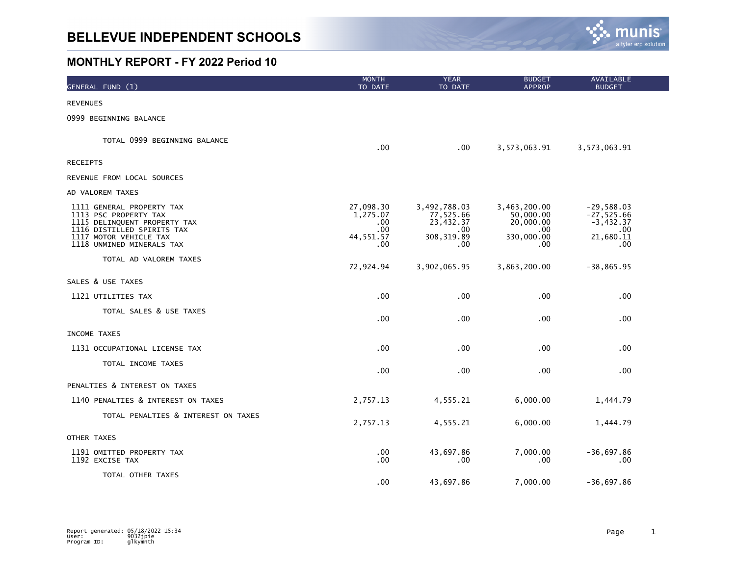

| GENERAL FUND (1)                                                                                                                                                        | <b>MONTH</b><br>TO DATE                                 | <b>YEAR</b><br>TO DATE                                              | <b>BUDGET</b><br><b>APPROP</b>                                     | AVAILABLE<br><b>BUDGET</b>                                             |
|-------------------------------------------------------------------------------------------------------------------------------------------------------------------------|---------------------------------------------------------|---------------------------------------------------------------------|--------------------------------------------------------------------|------------------------------------------------------------------------|
| <b>REVENUES</b>                                                                                                                                                         |                                                         |                                                                     |                                                                    |                                                                        |
| 0999 BEGINNING BALANCE                                                                                                                                                  |                                                         |                                                                     |                                                                    |                                                                        |
| TOTAL 0999 BEGINNING BALANCE                                                                                                                                            | .00                                                     | .00                                                                 | 3,573,063.91                                                       | 3,573,063.91                                                           |
| <b>RECEIPTS</b>                                                                                                                                                         |                                                         |                                                                     |                                                                    |                                                                        |
| REVENUE FROM LOCAL SOURCES                                                                                                                                              |                                                         |                                                                     |                                                                    |                                                                        |
| AD VALOREM TAXES                                                                                                                                                        |                                                         |                                                                     |                                                                    |                                                                        |
| 1111 GENERAL PROPERTY TAX<br>1113 PSC PROPERTY TAX<br>1115 DELINQUENT PROPERTY TAX<br>1116 DISTILLED SPIRITS TAX<br>1117 MOTOR VEHICLE TAX<br>1118 UNMINED MINERALS TAX | 27,098.30<br>1,275.07<br>.00<br>.00<br>44,551.57<br>.00 | 3,492,788.03<br>77,525.66<br>23,432.37<br>.00<br>308, 319.89<br>.00 | 3,463,200.00<br>50,000.00<br>20,000.00<br>.00<br>330,000.00<br>.00 | $-29,588.03$<br>$-27,525.66$<br>$-3,432.37$<br>.00<br>21,680.11<br>.00 |
| TOTAL AD VALOREM TAXES                                                                                                                                                  | 72,924.94                                               | 3,902,065.95                                                        | 3,863,200.00                                                       | $-38,865.95$                                                           |
| SALES & USE TAXES                                                                                                                                                       |                                                         |                                                                     |                                                                    |                                                                        |
| 1121 UTILITIES TAX                                                                                                                                                      | .00                                                     | .00                                                                 | .00                                                                | .00                                                                    |
| TOTAL SALES & USE TAXES                                                                                                                                                 | .00.                                                    | .00                                                                 | .00                                                                | $.00 \,$                                                               |
| INCOME TAXES                                                                                                                                                            |                                                         |                                                                     |                                                                    |                                                                        |
| 1131 OCCUPATIONAL LICENSE TAX                                                                                                                                           | .00                                                     | .00                                                                 | .00                                                                | $.00 \,$                                                               |
| TOTAL INCOME TAXES                                                                                                                                                      | $.00 \,$                                                | .00.                                                                | .00                                                                | $.00 \,$                                                               |
| PENALTIES & INTEREST ON TAXES                                                                                                                                           |                                                         |                                                                     |                                                                    |                                                                        |
| 1140 PENALTIES & INTEREST ON TAXES                                                                                                                                      | 2,757.13                                                | 4,555.21                                                            | 6,000.00                                                           | 1,444.79                                                               |
| TOTAL PENALTIES & INTEREST ON TAXES                                                                                                                                     | 2,757.13                                                | 4,555.21                                                            | 6,000.00                                                           | 1,444.79                                                               |
| OTHER TAXES                                                                                                                                                             |                                                         |                                                                     |                                                                    |                                                                        |
| 1191 OMITTED PROPERTY TAX<br>1192 EXCISE TAX                                                                                                                            | .00.<br>.00                                             | 43,697.86<br>.00                                                    | 7,000.00<br>.00.                                                   | $-36,697.86$<br>.00                                                    |
| TOTAL OTHER TAXES                                                                                                                                                       | $.00 \,$                                                | 43,697.86                                                           | 7,000.00                                                           | $-36,697.86$                                                           |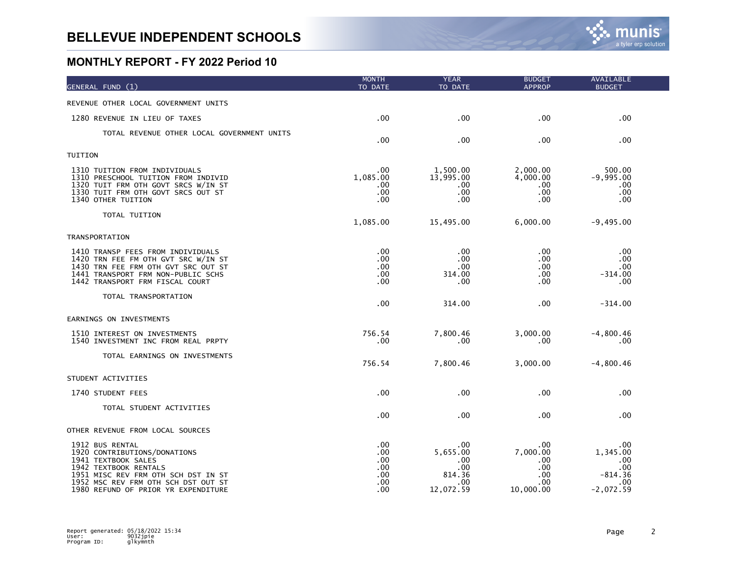| GENERAL FUND (1)                                                                                                                                                                                                     | <b>MONTH</b><br>TO DATE                       | <b>YEAR</b><br>TO DATE                                      | <b>BUDGET</b><br><b>APPROP</b>                           | AVAILABLE<br><b>BUDGET</b>                                          |
|----------------------------------------------------------------------------------------------------------------------------------------------------------------------------------------------------------------------|-----------------------------------------------|-------------------------------------------------------------|----------------------------------------------------------|---------------------------------------------------------------------|
| REVENUE OTHER LOCAL GOVERNMENT UNITS                                                                                                                                                                                 |                                               |                                                             |                                                          |                                                                     |
| 1280 REVENUE IN LIEU OF TAXES                                                                                                                                                                                        | .00                                           | .00                                                         | .00                                                      | .00 <sub>1</sub>                                                    |
| TOTAL REVENUE OTHER LOCAL GOVERNMENT UNITS                                                                                                                                                                           | .00                                           | .00                                                         | .00                                                      | .00.                                                                |
| TUITION                                                                                                                                                                                                              |                                               |                                                             |                                                          |                                                                     |
| 1310 TUITION FROM INDIVIDUALS<br>1310 PRESCHOOL TUITION FROM INDIVID<br>1320 TUIT FRM OTH GOVT SRCS W/IN ST<br>1330 TUIT FRM OTH GOVT SRCS OUT ST<br>1340 OTHER TUITION                                              | .00<br>1,085.00<br>.00.<br>.00<br>.00         | 1,500.00<br>13,995.00<br>.00<br>.00<br>.00                  | 2,000.00<br>4,000.00<br>.00<br>.00<br>.00                | 500.00<br>$-9,995.00$<br>.00<br>.00<br>.00                          |
| TOTAL TUITION                                                                                                                                                                                                        | 1,085.00                                      | 15,495.00                                                   | 6,000.00                                                 | $-9,495.00$                                                         |
| <b>TRANSPORTATION</b>                                                                                                                                                                                                |                                               |                                                             |                                                          |                                                                     |
| 1410 TRANSP FEES FROM INDIVIDUALS<br>1420 TRN FEE FM OTH GVT SRC W/IN ST<br>1430 TRN FEE FRM OTH GVT SRC OUT ST<br>1441 TRANSPORT FRM NON-PUBLIC SCHS<br>1442 TRANSPORT FRM FISCAL COURT                             | .00<br>.00<br>.00<br>.00<br>.00               | .00<br>.00<br>.00<br>314.00<br>.00                          | .00<br>.00<br>.00<br>.00<br>.00                          | .00<br>.00<br>.00<br>$-314.00$<br>.00                               |
| TOTAL TRANSPORTATION                                                                                                                                                                                                 | .00                                           | 314.00                                                      | .00                                                      | $-314.00$                                                           |
| EARNINGS ON INVESTMENTS                                                                                                                                                                                              |                                               |                                                             |                                                          |                                                                     |
| 1510 INTEREST ON INVESTMENTS<br>1540 INVESTMENT INC FROM REAL PRPTY                                                                                                                                                  | 756.54<br>.00.                                | 7,800.46<br>.00                                             | 3,000.00<br>.00                                          | $-4,800.46$<br>.00                                                  |
| TOTAL EARNINGS ON INVESTMENTS                                                                                                                                                                                        | 756.54                                        | 7,800.46                                                    | 3,000.00                                                 | $-4,800.46$                                                         |
| STUDENT ACTIVITIES                                                                                                                                                                                                   |                                               |                                                             |                                                          |                                                                     |
| 1740 STUDENT FEES                                                                                                                                                                                                    | .00                                           | .00                                                         | .00                                                      | .00                                                                 |
| TOTAL STUDENT ACTIVITIES                                                                                                                                                                                             | .00                                           | .00                                                         | .00                                                      | .00                                                                 |
| OTHER REVENUE FROM LOCAL SOURCES                                                                                                                                                                                     |                                               |                                                             |                                                          |                                                                     |
| 1912 BUS RENTAL<br>1920 CONTRIBUTIONS/DONATIONS<br>1941 TEXTBOOK SALES<br>1942 TEXTBOOK RENTALS<br>1951 MISC REV FRM OTH SCH DST IN ST<br>1952 MSC REV FRM OTH SCH DST OUT ST<br>1980 REFUND OF PRIOR YR EXPENDITURE | .00<br>.00<br>.00<br>.00<br>.00<br>.00<br>.00 | .00<br>5,655.00<br>.00<br>.00<br>814.36<br>.00<br>12,072.59 | .00<br>7,000.00<br>.00<br>.00<br>.00<br>.00<br>10,000.00 | .00<br>1,345.00<br>$.00 \,$<br>.00<br>-814.36<br>.00<br>$-2,072.59$ |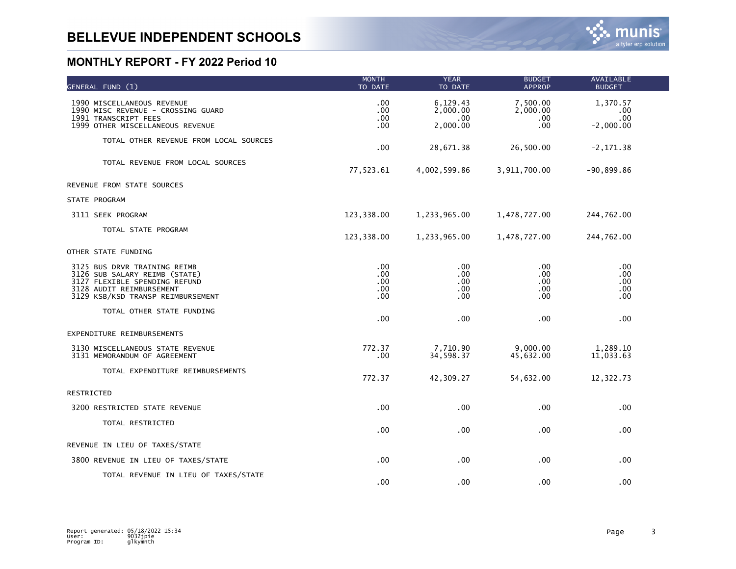| GENERAL FUND (1)                                                                                                                                                | <b>MONTH</b><br>TO DATE                          | <b>YEAR</b><br>TO DATE                  | <b>BUDGET</b><br><b>APPROP</b>     | <b>AVAILABLE</b><br><b>BUDGET</b>     |  |
|-----------------------------------------------------------------------------------------------------------------------------------------------------------------|--------------------------------------------------|-----------------------------------------|------------------------------------|---------------------------------------|--|
| 1990 MISCELLANEOUS REVENUE<br>1990 MISC REVENUE - CROSSING GUARD<br>1991 TRANSCRIPT FEES<br>1999 OTHER MISCELLANEOUS REVENUE                                    | .00<br>.00<br>.00<br>.00                         | 6,129.43<br>2,000.00<br>.00<br>2,000.00 | 7,500.00<br>2,000.00<br>.00<br>.00 | 1,370.57<br>.00<br>.00<br>$-2,000.00$ |  |
| TOTAL OTHER REVENUE FROM LOCAL SOURCES                                                                                                                          | .00                                              | 28,671.38                               | 26,500.00                          | $-2, 171.38$                          |  |
| TOTAL REVENUE FROM LOCAL SOURCES                                                                                                                                | 77,523.61                                        | 4,002,599.86                            | 3,911,700.00                       | $-90,899.86$                          |  |
| REVENUE FROM STATE SOURCES                                                                                                                                      |                                                  |                                         |                                    |                                       |  |
| STATE PROGRAM                                                                                                                                                   |                                                  |                                         |                                    |                                       |  |
| 3111 SEEK PROGRAM                                                                                                                                               | 123,338.00                                       | 1,233,965.00                            | 1,478,727.00                       | 244,762.00                            |  |
| TOTAL STATE PROGRAM                                                                                                                                             | 123,338.00                                       | 1,233,965.00                            | 1,478,727.00                       | 244,762.00                            |  |
| OTHER STATE FUNDING                                                                                                                                             |                                                  |                                         |                                    |                                       |  |
| 3125 BUS DRVR TRAINING REIMB<br>3126 SUB SALARY REIMB (STATE)<br>3127 FLEXIBLE SPENDING REFUND<br>3128 AUDIT REIMBURSEMENT<br>3129 KSB/KSD TRANSP REIMBURSEMENT | .00.<br>$.00 \,$<br>.00.<br>$.00 \,$<br>$.00 \,$ | .00.<br>.00<br>.00<br>.00<br>.00        | .00<br>.00<br>.00<br>.00<br>.00    | .00<br>.00<br>.00<br>.00<br>.00       |  |
| TOTAL OTHER STATE FUNDING                                                                                                                                       | .00                                              | .00                                     | .00                                | .00                                   |  |
| EXPENDITURE REIMBURSEMENTS                                                                                                                                      |                                                  |                                         |                                    |                                       |  |
| 3130 MISCELLANEOUS STATE REVENUE<br>3131 MEMORANDUM OF AGREEMENT                                                                                                | 772.37<br>$.00 \,$                               | 7,710.90<br>34,598.37                   | 9,000.00<br>45,632.00              | 1,289.10<br>11,033.63                 |  |
| TOTAL EXPENDITURE REIMBURSEMENTS                                                                                                                                | 772.37                                           | 42,309.27                               | 54,632.00                          | 12,322.73                             |  |
| RESTRICTED                                                                                                                                                      |                                                  |                                         |                                    |                                       |  |
| 3200 RESTRICTED STATE REVENUE                                                                                                                                   | .00                                              | .00                                     | .00                                | .00                                   |  |
| TOTAL RESTRICTED                                                                                                                                                | .00                                              | .00                                     | .00                                | .00                                   |  |
| REVENUE IN LIEU OF TAXES/STATE                                                                                                                                  |                                                  |                                         |                                    |                                       |  |
| 3800 REVENUE IN LIEU OF TAXES/STATE                                                                                                                             | .00                                              | .00                                     | .00                                | .00                                   |  |
| TOTAL REVENUE IN LIEU OF TAXES/STATE                                                                                                                            | .00                                              | .00                                     | .00                                | .00                                   |  |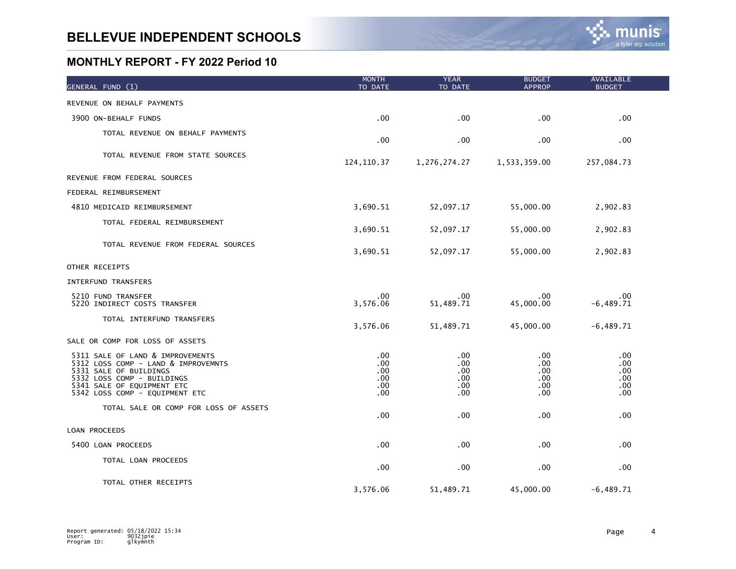| GENERAL FUND (1)                                                                                                                                                                                | <b>MONTH</b><br>TO DATE                             | <b>YEAR</b><br>TO DATE                 | <b>BUDGET</b><br><b>APPROP</b>            | AVAILABLE<br><b>BUDGET</b>             |  |
|-------------------------------------------------------------------------------------------------------------------------------------------------------------------------------------------------|-----------------------------------------------------|----------------------------------------|-------------------------------------------|----------------------------------------|--|
| REVENUE ON BEHALF PAYMENTS                                                                                                                                                                      |                                                     |                                        |                                           |                                        |  |
| 3900 ON-BEHALF FUNDS                                                                                                                                                                            | .00.                                                | .00                                    | .00                                       | .00                                    |  |
| TOTAL REVENUE ON BEHALF PAYMENTS                                                                                                                                                                | $.00 \,$                                            | .00                                    | .00                                       | .00                                    |  |
| TOTAL REVENUE FROM STATE SOURCES                                                                                                                                                                | 124, 110.37                                         | 1,276,274.27                           | 1,533,359.00                              | 257,084.73                             |  |
| REVENUE FROM FEDERAL SOURCES                                                                                                                                                                    |                                                     |                                        |                                           |                                        |  |
| FEDERAL REIMBURSEMENT                                                                                                                                                                           |                                                     |                                        |                                           |                                        |  |
| 4810 MEDICAID REIMBURSEMENT                                                                                                                                                                     | 3,690.51                                            | 52,097.17                              | 55,000.00                                 | 2,902.83                               |  |
| TOTAL FEDERAL REIMBURSEMENT                                                                                                                                                                     | 3,690.51                                            | 52,097.17                              | 55,000.00                                 | 2,902.83                               |  |
| TOTAL REVENUE FROM FEDERAL SOURCES                                                                                                                                                              | 3,690.51                                            | 52,097.17                              | 55,000.00                                 | 2,902.83                               |  |
| OTHER RECEIPTS                                                                                                                                                                                  |                                                     |                                        |                                           |                                        |  |
| INTERFUND TRANSFERS                                                                                                                                                                             |                                                     |                                        |                                           |                                        |  |
| 5210 FUND TRANSFER<br>5220 INDIRECT COSTS TRANSFER                                                                                                                                              | .00<br>3,576.06                                     | .00<br>51,489.71                       | .00<br>45,000.00                          | .00<br>$-6,489.71$                     |  |
| TOTAL INTERFUND TRANSFERS                                                                                                                                                                       | 3,576.06                                            | 51,489.71                              | 45,000.00                                 | $-6,489.71$                            |  |
| SALE OR COMP FOR LOSS OF ASSETS                                                                                                                                                                 |                                                     |                                        |                                           |                                        |  |
| 5311 SALE OF LAND & IMPROVEMENTS<br>5312 LOSS COMP - LAND & IMPROVEMNTS<br>5331 SALE OF BUILDINGS<br>5332 LOSS COMP - BUILDINGS<br>5341 SALE OF EQUIPMENT ETC<br>5342 LOSS COMP - EQUIPMENT ETC | .00<br>$.00 \,$<br>$.00 \,$<br>.00.<br>.00.<br>.00. | .00<br>.00<br>.00<br>.00<br>.00<br>.00 | .00<br>.00.<br>.00<br>.00<br>.00.<br>.00. | .00<br>.00<br>.00<br>.00<br>.00<br>.00 |  |
| TOTAL SALE OR COMP FOR LOSS OF ASSETS                                                                                                                                                           | .00                                                 | .00                                    | .00                                       | .00                                    |  |
| LOAN PROCEEDS                                                                                                                                                                                   |                                                     |                                        |                                           |                                        |  |
| 5400 LOAN PROCEEDS                                                                                                                                                                              | $.00 \,$                                            | .00                                    | .00                                       | .00                                    |  |
| TOTAL LOAN PROCEEDS                                                                                                                                                                             | .00.                                                | .00                                    | .00                                       | .00                                    |  |
| TOTAL OTHER RECEIPTS                                                                                                                                                                            | 3,576.06                                            | 51,489.71                              | 45,000.00                                 | $-6,489.71$                            |  |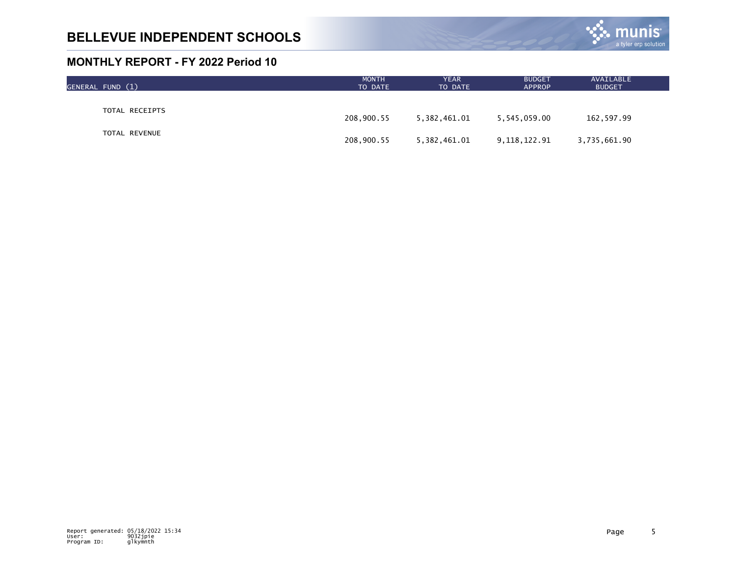

| GENERAL FUND (1) | <b>MONTH</b><br>TO DATE | <b>YEAR</b><br>TO DATE | <b>BUDGET</b><br><b>APPROP</b> | AVAILABLE<br><b>BUDGET</b> |  |
|------------------|-------------------------|------------------------|--------------------------------|----------------------------|--|
|                  |                         |                        |                                |                            |  |
| TOTAL RECEIPTS   | 208,900.55              | 5,382,461.01           | 5,545,059.00                   | 162,597.99                 |  |
| TOTAL REVENUE    | 208,900.55              | 5,382,461.01           | 9,118,122.91                   | 3,735,661.90               |  |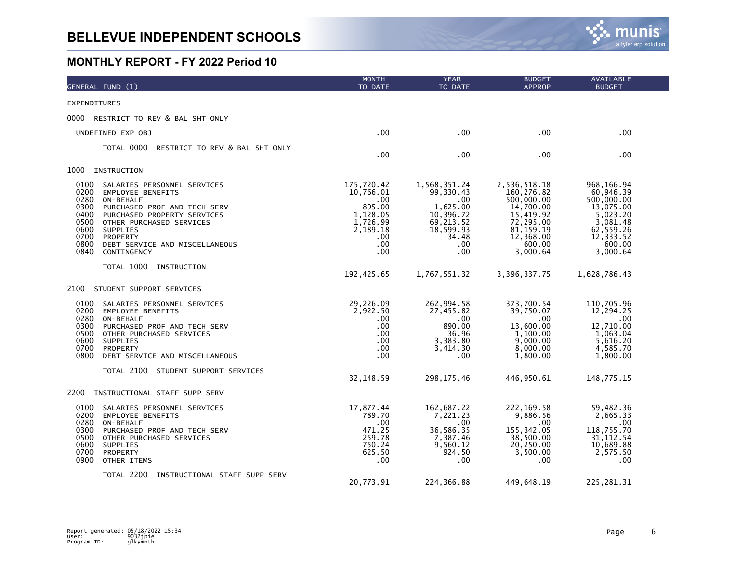

| GENERAL FUND (1)                                                                                                                                                                                                                                                                                                         | <b>MONTH</b><br>TO DATE                                                                                     | <b>YEAR</b><br>TO DATE                                                                                     | <b>BUDGET</b><br><b>APPROP</b>                                                                                                     | <b>AVAILABLE</b><br><b>BUDGET</b>                                                                                           |
|--------------------------------------------------------------------------------------------------------------------------------------------------------------------------------------------------------------------------------------------------------------------------------------------------------------------------|-------------------------------------------------------------------------------------------------------------|------------------------------------------------------------------------------------------------------------|------------------------------------------------------------------------------------------------------------------------------------|-----------------------------------------------------------------------------------------------------------------------------|
| <b>EXPENDITURES</b>                                                                                                                                                                                                                                                                                                      |                                                                                                             |                                                                                                            |                                                                                                                                    |                                                                                                                             |
| 0000 RESTRICT TO REV & BAL SHT ONLY                                                                                                                                                                                                                                                                                      |                                                                                                             |                                                                                                            |                                                                                                                                    |                                                                                                                             |
| UNDEFINED EXP OBJ                                                                                                                                                                                                                                                                                                        | .00.                                                                                                        | $.00 \,$                                                                                                   | .00                                                                                                                                | .00                                                                                                                         |
| TOTAL 0000<br>RESTRICT TO REV & BAL SHT ONLY                                                                                                                                                                                                                                                                             | .00                                                                                                         | $.00 \,$                                                                                                   | .00                                                                                                                                | .00                                                                                                                         |
| 1000<br>INSTRUCTION                                                                                                                                                                                                                                                                                                      |                                                                                                             |                                                                                                            |                                                                                                                                    |                                                                                                                             |
| 0100<br>SALARIES PERSONNEL SERVICES<br>0200<br><b>EMPLOYEE BENEFITS</b><br>0280<br>ON-BEHALF<br>0300<br>PURCHASED PROF AND TECH SERV<br>0400<br>PURCHASED PROPERTY SERVICES<br>0500<br>OTHER PURCHASED SERVICES<br>0600<br>SUPPLIES<br>0700<br>PROPERTY<br>0800<br>DEBT SERVICE AND MISCELLANEOUS<br>0840<br>CONTINGENCY | 175,720.42<br>10,766.01<br>.00<br>895.00<br>1,128.05<br>1,726.99<br>2,189.18<br>$.00 \times$<br>.00<br>.00. | 1,568,351.24<br>99,330.43<br>.00<br>1,625.00<br>10,396.72<br>69,213.52<br>18,599.93<br>34.48<br>.00<br>.00 | 2,536,518.18<br>160, 276.82<br>500,000.00<br>14,700.00<br>15,419.92<br>72,295.00<br>81, 159. 19<br>12,368.00<br>600.00<br>3,000.64 | 968, 166.94<br>60,946.39<br>500,000.00<br>13,075.00<br>5,023.20<br>3,081.48<br>62,559.26<br>12,333.52<br>600.00<br>3,000.64 |
| TOTAL 1000 INSTRUCTION                                                                                                                                                                                                                                                                                                   | 192,425.65                                                                                                  | 1,767,551.32                                                                                               | 3,396,337.75                                                                                                                       | 1,628,786.43                                                                                                                |
| 2100<br>STUDENT SUPPORT SERVICES                                                                                                                                                                                                                                                                                         |                                                                                                             |                                                                                                            |                                                                                                                                    |                                                                                                                             |
| 0100<br>SALARIES PERSONNEL SERVICES<br>0200<br><b>EMPLOYEE BENEFITS</b><br>0280<br>ON-BEHALF<br>0300<br>PURCHASED PROF AND TECH SERV<br>0500<br>OTHER PURCHASED SERVICES<br>0600<br>SUPPLIES<br>0700<br>PROPERTY<br>0800<br>DEBT SERVICE AND MISCELLANEOUS                                                               | 29,226.09<br>2,922.50<br>.00.<br>.00<br>.00<br>.00<br>.00<br>$.00 \,$                                       | 262,994.58<br>27,455.82<br>.00<br>890.00<br>36.96<br>3,383.80<br>3,414.30<br>$.00 \,$                      | 373,700.54<br>39,750.07<br>$.00 \,$<br>13,600.00<br>1,100.00<br>9,000.00<br>8,000.00<br>1,800.00                                   | 110,705.96<br>12,294.25<br>.00<br>12,710.00<br>1,063.04<br>5,616.20<br>4,585.70<br>1,800.00                                 |
| TOTAL 2100 STUDENT SUPPORT SERVICES                                                                                                                                                                                                                                                                                      | 32,148.59                                                                                                   | 298, 175.46                                                                                                | 446,950.61                                                                                                                         | 148,775.15                                                                                                                  |
| 2200<br>INSTRUCTIONAL STAFF SUPP SERV                                                                                                                                                                                                                                                                                    |                                                                                                             |                                                                                                            |                                                                                                                                    |                                                                                                                             |
| 0100<br>SALARIES PERSONNEL SERVICES<br>0200<br><b>EMPLOYEE BENEFITS</b><br>0280<br>ON-BEHALF<br>0300<br>PURCHASED PROF AND TECH SERV<br>0500<br>OTHER PURCHASED SERVICES<br>0600<br>SUPPLIES<br>0700<br>PROPERTY<br>0900<br>OTHER ITEMS                                                                                  | 17,877.44<br>789.70<br>.00<br>471.25<br>259.78<br>750.24<br>625.50<br>.00                                   | 162,687.22<br>7,221.23<br>$.00 \times$<br>36,586.35<br>7,387.46<br>9,560.12<br>924.50<br>.00               | 222, 169.58<br>9,886.56<br>$.00 \cdot$<br>155, 342.05<br>38,500.00<br>20,250.00<br>3,500.00<br>.00                                 | 59,482.36<br>2,665.33<br>$.00 \,$<br>118,755.70<br>31, 112.54<br>10,689.88<br>2,575.50<br>.00                               |
| TOTAL 2200 INSTRUCTIONAL STAFF SUPP SERV                                                                                                                                                                                                                                                                                 | 20,773.91                                                                                                   | 224,366.88                                                                                                 | 449,648.19                                                                                                                         | 225, 281.31                                                                                                                 |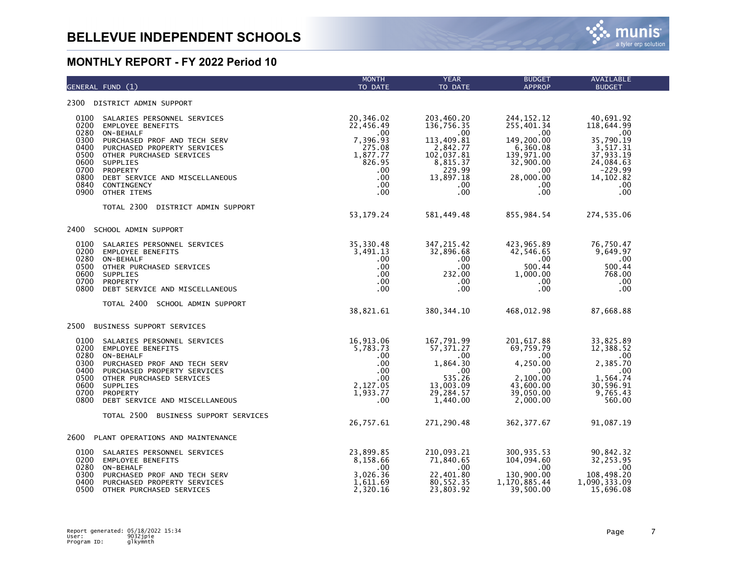| GENERAL FUND (1)                                                                                                                                                                                                                                                                                                                          | <b>MONTH</b><br>TO DATE                                                                                                      | <b>YEAR</b><br>TO DATE                                                                                                                           | <b>BUDGET</b><br><b>APPROP</b>                                                                                                                   | AVAILABLE<br><b>BUDGET</b>                                                                                                       |
|-------------------------------------------------------------------------------------------------------------------------------------------------------------------------------------------------------------------------------------------------------------------------------------------------------------------------------------------|------------------------------------------------------------------------------------------------------------------------------|--------------------------------------------------------------------------------------------------------------------------------------------------|--------------------------------------------------------------------------------------------------------------------------------------------------|----------------------------------------------------------------------------------------------------------------------------------|
| 2300 DISTRICT ADMIN SUPPORT                                                                                                                                                                                                                                                                                                               |                                                                                                                              |                                                                                                                                                  |                                                                                                                                                  |                                                                                                                                  |
| 0100<br>SALARIES PERSONNEL SERVICES<br>0200<br><b>EMPLOYEE BENEFITS</b><br>0280<br>ON-BEHALF<br>0300<br>PURCHASED PROF AND TECH SERV<br>0400<br>PURCHASED PROPERTY SERVICES<br>0500 OTHER PURCHASED SERVICES<br>0600<br>SUPPLIES<br>0700<br>PROPERTY<br>0800<br>DEBT SERVICE AND MISCELLANEOUS<br>0840<br>CONTINGENCY<br>0900 OTHER ITEMS | 20,346.02<br>22,456.49<br>.00<br>7,396.93<br>275.08<br>1,877.77<br>826.95<br>$.00 \times$<br>$.00 \,$<br>.00<br>$.00 \times$ | 203,460.20<br>136,756.35<br>$\sim$ 00<br>113,409.81<br>2,842.77<br>102,037.81<br>8,815.37<br>229.99<br>13,897.18<br>$.00 \,$<br>.00 <sub>1</sub> | 244, 152. 12<br>255,401.34<br>$\sim 00$<br>149,200.00<br>6,360.08<br>139,971.00<br>32,900.00<br>.00<br>28,000.00<br>$.00 \,$<br>.00 <sub>1</sub> | 40,691.92<br>118,644.99<br>$\sim 00$<br>35,790.19<br>3,517.31<br>37,933.19<br>24,084.63<br>$-229.99$<br>14, 102.82<br>.00<br>.00 |
| TOTAL 2300<br>DISTRICT ADMIN SUPPORT                                                                                                                                                                                                                                                                                                      | 53,179.24                                                                                                                    | 581,449.48                                                                                                                                       | 855,984.54                                                                                                                                       | 274,535.06                                                                                                                       |
| 2400 SCHOOL ADMIN SUPPORT                                                                                                                                                                                                                                                                                                                 |                                                                                                                              |                                                                                                                                                  |                                                                                                                                                  |                                                                                                                                  |
| 0100<br>SALARIES PERSONNEL SERVICES<br>0200<br><b>EMPLOYEE BENEFITS</b><br>0280<br>ON-BEHALF<br>0500<br>OTHER PURCHASED SERVICES<br>0600<br>SUPPLIES<br>0700<br>PROPERTY<br>0800<br>DEBT SERVICE AND MISCELLANEOUS                                                                                                                        | 35,330.48<br>3,491.13<br>$.00 \,$<br>$.00 \times$<br>$.00 \,$<br>.00<br>$.00 \,$                                             | 347, 215.42<br>32,896.68<br>$.00 \,$<br>$.00 \,$<br>232.00<br>.00<br>$.00 \,$                                                                    | 423,965.89<br>42,546.65<br>.00<br>500.44<br>1,000.00<br>$.00\,$<br>$.00 \,$                                                                      | 76,750.47<br>9,649.97<br>.00<br>500.44<br>768.00<br>.00<br>.00                                                                   |
| TOTAL 2400 SCHOOL ADMIN SUPPORT                                                                                                                                                                                                                                                                                                           | 38,821.61                                                                                                                    | 380, 344.10                                                                                                                                      | 468,012.98                                                                                                                                       | 87,668.88                                                                                                                        |
| 2500<br>BUSINESS SUPPORT SERVICES                                                                                                                                                                                                                                                                                                         |                                                                                                                              |                                                                                                                                                  |                                                                                                                                                  |                                                                                                                                  |
| 0100 SALARIES PERSONNEL SERVICES<br>0200 EMPLOYEE BENEFITS<br>0280 ON-BEHALF<br>0300<br>PURCHASED PROF AND TECH SERV<br>0400 PURCHASED PROPERTY SERVICES<br>0500<br>OTHER PURCHASED SERVICES<br>0600<br>SUPPLIES<br>0700 PROPERTY<br>0800<br>DEBT SERVICE AND MISCELLANEOUS                                                               | 16,913.06<br>5,783.73<br>.00<br>$.00 \,$<br>.00<br>.00<br>2,127.05<br>1,933.77<br>.00 <sub>1</sub>                           | 167,791.99<br>57,371.27<br>.00<br>1,864.30<br>.00<br>535.26<br>13,003.09<br>29, 284.57<br>1,440.00                                               | 201,617.88<br>69,759.79<br>.00<br>4,250.00<br>.00<br>2,100.00<br>43,600.00<br>39,050.00<br>2,000.00                                              | 33,825.89<br>12,388.52<br>$\sim$ .00<br>2,385.70<br>.00<br>1,564.74<br>30,596.91<br>9,765.43<br>560.00                           |
| TOTAL 2500 BUSINESS SUPPORT SERVICES                                                                                                                                                                                                                                                                                                      | 26,757.61                                                                                                                    | 271,290.48                                                                                                                                       | 362, 377.67                                                                                                                                      | 91,087.19                                                                                                                        |
| 2600 PLANT OPERATIONS AND MAINTENANCE                                                                                                                                                                                                                                                                                                     |                                                                                                                              |                                                                                                                                                  |                                                                                                                                                  |                                                                                                                                  |
| 0100<br>SALARIES PERSONNEL SERVICES<br>0200 EMPLOYEE BENEFITS<br>0280<br>ON-BEHALF<br>0300<br>PURCHASED PROF AND TECH SERV<br>0400<br>PURCHASED PROPERTY SERVICES<br>0500<br>OTHER PURCHASED SERVICES                                                                                                                                     | 23,899.85<br>8,158.66<br>.00<br>3,026.36<br>1,611.69<br>2,320.16                                                             | 210,093.21<br>71,840.65<br>$\sim$ 00<br>22,401.80<br>80, 552.35<br>23,803.92                                                                     | 300,935.53<br>104,094.60<br>$\sim$ 00<br>130,900.00<br>1,170,885.44<br>39,500.00                                                                 | 90,842.32<br>32,253.95<br>.00<br>108,498.20<br>1,090,333.09<br>15,696.08                                                         |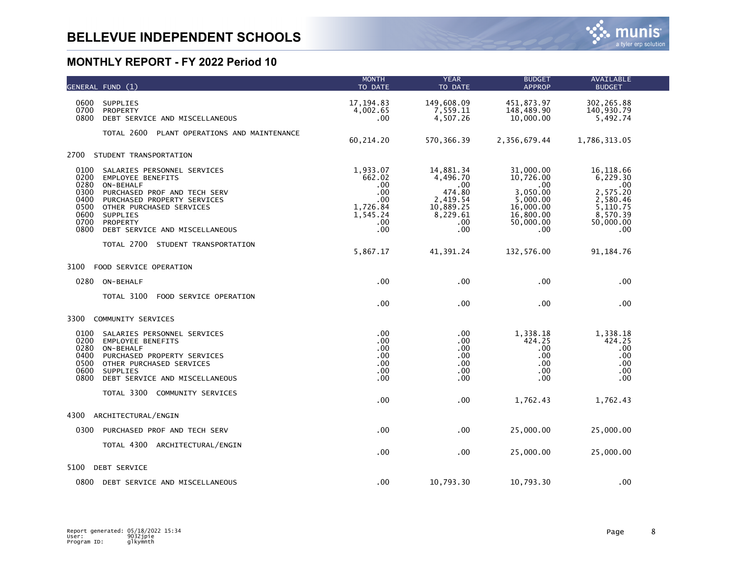|                                                                      | GENERAL FUND (1)                                                                                                                                                                                                          | <b>MONTH</b><br>TO DATE                                                       | <b>YEAR</b><br>TO DATE                                                                         | <b>BUDGET</b><br><b>APPROP</b>                                                                      | <b>AVAILABLE</b><br><b>BUDGET</b>                                                                |  |
|----------------------------------------------------------------------|---------------------------------------------------------------------------------------------------------------------------------------------------------------------------------------------------------------------------|-------------------------------------------------------------------------------|------------------------------------------------------------------------------------------------|-----------------------------------------------------------------------------------------------------|--------------------------------------------------------------------------------------------------|--|
| 0600<br>0700<br>0800                                                 | <b>SUPPLIES</b><br>PROPERTY<br>DEBT SERVICE AND MISCELLANEOUS                                                                                                                                                             | 17, 194.83<br>4,002.65<br>.00                                                 | 149,608.09<br>7,559.11<br>4,507.26                                                             | 451,873.97<br>148,489.90<br>10,000.00                                                               | 302, 265.88<br>140,930.79<br>5,492.74                                                            |  |
|                                                                      | TOTAL 2600<br>PLANT OPERATIONS AND MAINTENANCE                                                                                                                                                                            | 60,214.20                                                                     | 570, 366.39                                                                                    | 2,356,679.44                                                                                        | 1,786,313.05                                                                                     |  |
| 2700                                                                 | STUDENT TRANSPORTATION                                                                                                                                                                                                    |                                                                               |                                                                                                |                                                                                                     |                                                                                                  |  |
| 0100<br>0200<br>0280<br>0300<br>0400<br>0500<br>0600<br>0700<br>0800 | SALARIES PERSONNEL SERVICES<br><b>EMPLOYEE BENEFITS</b><br>ON-BEHALF<br>PURCHASED PROF AND TECH SERV<br>PURCHASED PROPERTY SERVICES<br>OTHER PURCHASED SERVICES<br>SUPPLIES<br>PROPERTY<br>DEBT SERVICE AND MISCELLANEOUS | 1,933.07<br>662.02<br>.00<br>.00<br>.00<br>1,726.84<br>1,545.24<br>.00<br>.00 | 14,881.34<br>4,496.70<br>.00<br>474.80<br>2,419.54<br>10,889.25<br>8,229.61<br>$.00 \,$<br>.00 | 31,000.00<br>10,726.00<br>.00<br>3,050.00<br>5,000.00<br>16,000.00<br>16,800.00<br>50,000.00<br>.00 | 16,118.66<br>6,229.30<br>.00<br>2,575.20<br>2,580.46<br>5,110.75<br>8,570.39<br>50,000.00<br>.00 |  |
|                                                                      | TOTAL 2700 STUDENT TRANSPORTATION                                                                                                                                                                                         | 5,867.17                                                                      | 41,391.24                                                                                      | 132,576.00                                                                                          | 91, 184. 76                                                                                      |  |
| 3100                                                                 | FOOD SERVICE OPERATION                                                                                                                                                                                                    |                                                                               |                                                                                                |                                                                                                     |                                                                                                  |  |
| 0280                                                                 | ON-BEHALF                                                                                                                                                                                                                 | .00                                                                           | .00                                                                                            | .00                                                                                                 | .00                                                                                              |  |
|                                                                      | TOTAL 3100<br>FOOD SERVICE OPERATION                                                                                                                                                                                      | .00                                                                           | .00                                                                                            | .00                                                                                                 | .00                                                                                              |  |
| 3300                                                                 | COMMUNITY SERVICES                                                                                                                                                                                                        |                                                                               |                                                                                                |                                                                                                     |                                                                                                  |  |
| 0100<br>0200<br>0280<br>0400<br>0500<br>0600<br>0800                 | SALARIES PERSONNEL SERVICES<br><b>EMPLOYEE BENEFITS</b><br>ON-BEHALF<br>PURCHASED PROPERTY SERVICES<br>OTHER PURCHASED SERVICES<br>SUPPLIES<br>DEBT SERVICE AND MISCELLANEOUS                                             | .00<br>.00<br>.00<br>.00<br>.00<br>.00<br>.00                                 | .00.<br>.00<br>.00<br>.00<br>.00<br>.00<br>.00                                                 | 1,338.18<br>424.25<br>.00<br>.00<br>.00<br>.00<br>.00                                               | 1,338.18<br>424.25<br>.00<br>.00<br>.00<br>.00.<br>.00                                           |  |
|                                                                      | TOTAL 3300<br>COMMUNITY SERVICES                                                                                                                                                                                          | .00                                                                           | .00                                                                                            | 1,762.43                                                                                            | 1,762.43                                                                                         |  |
| 4300                                                                 | ARCHITECTURAL/ENGIN                                                                                                                                                                                                       |                                                                               |                                                                                                |                                                                                                     |                                                                                                  |  |
| 0300                                                                 | PURCHASED PROF AND TECH SERV                                                                                                                                                                                              | .00                                                                           | .00                                                                                            | 25,000.00                                                                                           | 25,000.00                                                                                        |  |
|                                                                      | TOTAL 4300 ARCHITECTURAL/ENGIN                                                                                                                                                                                            | .00                                                                           | .00                                                                                            | 25,000.00                                                                                           | 25,000.00                                                                                        |  |
| 5100                                                                 | DEBT SERVICE                                                                                                                                                                                                              |                                                                               |                                                                                                |                                                                                                     |                                                                                                  |  |
|                                                                      | 0800 DEBT SERVICE AND MISCELLANEOUS                                                                                                                                                                                       | .00                                                                           | 10,793.30                                                                                      | 10,793.30                                                                                           | .00                                                                                              |  |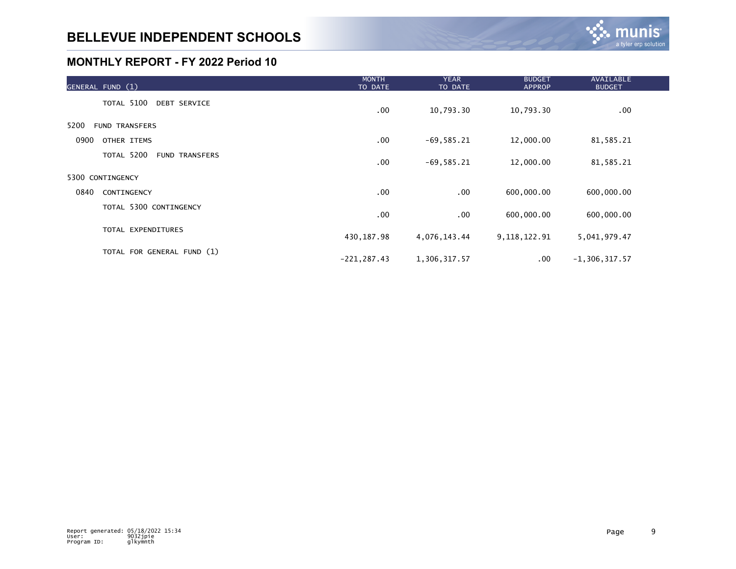| GENERAL FUND (1)              | <b>MONTH</b><br>TO DATE | <b>YEAR</b><br>TO DATE | <b>BUDGET</b><br><b>APPROP</b> | <b>AVAILABLE</b><br><b>BUDGET</b> |  |
|-------------------------------|-------------------------|------------------------|--------------------------------|-----------------------------------|--|
| TOTAL 5100 DEBT SERVICE       | .00                     | 10,793.30              | 10,793.30                      | $.00 \,$                          |  |
| 5200<br><b>FUND TRANSFERS</b> |                         |                        |                                |                                   |  |
| 0900<br>OTHER ITEMS           | $.00 \,$                | $-69,585.21$           | 12,000.00                      | 81,585.21                         |  |
| TOTAL 5200<br>FUND TRANSFERS  | .00                     | $-69,585.21$           | 12,000.00                      | 81,585.21                         |  |
| 5300 CONTINGENCY              |                         |                        |                                |                                   |  |
| 0840<br>CONTINGENCY           | .00                     | .00                    | 600,000.00                     | 600,000.00                        |  |
| TOTAL 5300 CONTINGENCY        | $.00 \,$                | $.00 \,$               | 600,000.00                     | 600,000.00                        |  |
| TOTAL EXPENDITURES            | 430,187.98              | 4,076,143.44           | 9, 118, 122.91                 | 5,041,979.47                      |  |
| TOTAL FOR GENERAL FUND (1)    | $-221, 287.43$          | 1,306,317.57           | .00                            | $-1, 306, 317.57$                 |  |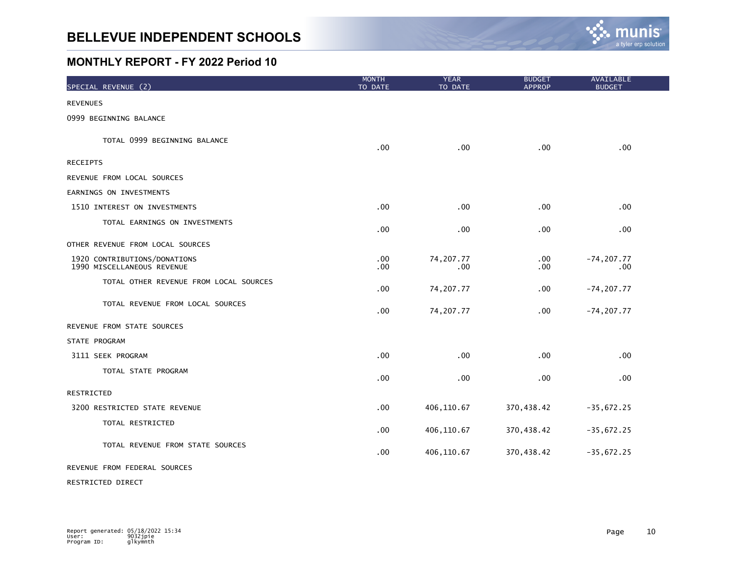

| SPECIAL REVENUE (2)                                        | <b>MONTH</b><br>TO DATE | <b>YEAR</b><br>TO DATE | <b>BUDGET</b><br><b>APPROP</b> | AVAILABLE<br><b>BUDGET</b> |  |
|------------------------------------------------------------|-------------------------|------------------------|--------------------------------|----------------------------|--|
| <b>REVENUES</b>                                            |                         |                        |                                |                            |  |
| 0999 BEGINNING BALANCE                                     |                         |                        |                                |                            |  |
| TOTAL 0999 BEGINNING BALANCE                               | .00                     | .00                    | .00 <sub>1</sub>               | .00                        |  |
| <b>RECEIPTS</b>                                            |                         |                        |                                |                            |  |
| REVENUE FROM LOCAL SOURCES                                 |                         |                        |                                |                            |  |
| EARNINGS ON INVESTMENTS                                    |                         |                        |                                |                            |  |
| 1510 INTEREST ON INVESTMENTS                               | .00                     | .00                    | .00                            | .00                        |  |
| TOTAL EARNINGS ON INVESTMENTS                              | .00                     | .00                    | .00                            | .00                        |  |
| OTHER REVENUE FROM LOCAL SOURCES                           |                         |                        |                                |                            |  |
| 1920 CONTRIBUTIONS/DONATIONS<br>1990 MISCELLANEOUS REVENUE | .00<br>.00              | 74, 207. 77<br>.00.    | $.00 \,$<br>$.00 \,$           | $-74, 207.77$<br>.00       |  |
| TOTAL OTHER REVENUE FROM LOCAL SOURCES                     | .00                     | 74,207.77              | .00                            | $-74, 207.77$              |  |
| TOTAL REVENUE FROM LOCAL SOURCES                           | .00                     | 74, 207. 77            | .00                            | $-74, 207.77$              |  |
| REVENUE FROM STATE SOURCES                                 |                         |                        |                                |                            |  |
| STATE PROGRAM                                              |                         |                        |                                |                            |  |
| 3111 SEEK PROGRAM                                          | .00                     | .00                    | .00                            | .00                        |  |
| TOTAL STATE PROGRAM                                        | .00                     | .00                    | .00                            | .00                        |  |
| RESTRICTED                                                 |                         |                        |                                |                            |  |
| 3200 RESTRICTED STATE REVENUE                              | .00                     | 406,110.67             | 370,438.42                     | $-35,672.25$               |  |
| TOTAL RESTRICTED                                           | .00                     | 406,110.67             | 370,438.42                     | $-35,672.25$               |  |
| TOTAL REVENUE FROM STATE SOURCES                           | .00                     | 406,110.67             | 370,438.42                     | $-35,672.25$               |  |
| REVENUE FROM FEDERAL SOURCES                               |                         |                        |                                |                            |  |

RESTRICTED DIRECT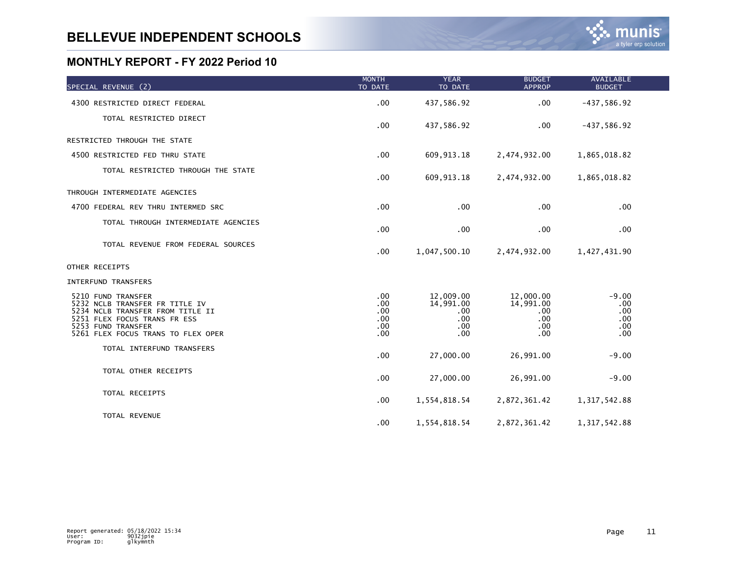| SPECIAL REVENUE (2)                                                                                                                                                                  | <b>MONTH</b><br>TO DATE                                            | <b>YEAR</b><br>TO DATE                             | <b>BUDGET</b><br><b>APPROP</b>                          | AVAILABLE<br><b>BUDGET</b>                 |  |
|--------------------------------------------------------------------------------------------------------------------------------------------------------------------------------------|--------------------------------------------------------------------|----------------------------------------------------|---------------------------------------------------------|--------------------------------------------|--|
| 4300 RESTRICTED DIRECT FEDERAL                                                                                                                                                       | .00                                                                | 437,586.92                                         | .00                                                     | $-437,586.92$                              |  |
| TOTAL RESTRICTED DIRECT                                                                                                                                                              | .00                                                                | 437,586.92                                         | .00                                                     | $-437,586.92$                              |  |
| RESTRICTED THROUGH THE STATE                                                                                                                                                         |                                                                    |                                                    |                                                         |                                            |  |
| 4500 RESTRICTED FED THRU STATE                                                                                                                                                       | .00                                                                | 609, 913. 18                                       | 2,474,932.00                                            | 1,865,018.82                               |  |
| TOTAL RESTRICTED THROUGH THE STATE                                                                                                                                                   | .00                                                                | 609, 913. 18                                       | 2,474,932.00                                            | 1,865,018.82                               |  |
| THROUGH INTERMEDIATE AGENCIES                                                                                                                                                        |                                                                    |                                                    |                                                         |                                            |  |
| 4700 FEDERAL REV THRU INTERMED SRC                                                                                                                                                   | .00                                                                | .00                                                | .00                                                     | .00                                        |  |
| TOTAL THROUGH INTERMEDIATE AGENCIES                                                                                                                                                  | .00                                                                | .00                                                | .00                                                     | $.00 \,$                                   |  |
| TOTAL REVENUE FROM FEDERAL SOURCES                                                                                                                                                   | .00                                                                | 1,047,500.10                                       | 2,474,932.00                                            | 1,427,431.90                               |  |
| OTHER RECEIPTS                                                                                                                                                                       |                                                                    |                                                    |                                                         |                                            |  |
| <b>INTERFUND TRANSFERS</b>                                                                                                                                                           |                                                                    |                                                    |                                                         |                                            |  |
| 5210 FUND TRANSFER<br>5232 NCLB TRANSFER FR TITLE IV<br>5234 NCLB TRANSFER FROM TITLE II<br>5251 FLEX FOCUS TRANS FR ESS<br>5253 FUND TRANSFER<br>5261 FLEX FOCUS TRANS TO FLEX OPER | .00.<br>.00 <sub>1</sub><br>$.00 \times$<br>$.00 \,$<br>.00<br>.00 | 12,009.00<br>14,991.00<br>.00<br>.00<br>.00<br>.00 | 12,000.00<br>14,991.00<br>$.00 \,$<br>.00<br>.00<br>.00 | $-9.00$<br>.00<br>.00<br>.00<br>.00<br>.00 |  |
| TOTAL INTERFUND TRANSFERS                                                                                                                                                            | .00                                                                | 27,000.00                                          | 26,991.00                                               | $-9.00$                                    |  |
| TOTAL OTHER RECEIPTS                                                                                                                                                                 | .00                                                                | 27,000.00                                          | 26,991.00                                               | $-9.00$                                    |  |
| TOTAL RECEIPTS                                                                                                                                                                       | .00                                                                | 1,554,818.54                                       | 2,872,361.42                                            | 1, 317, 542.88                             |  |
| TOTAL REVENUE                                                                                                                                                                        | .00                                                                | 1,554,818.54                                       | 2,872,361.42                                            | 1, 317, 542.88                             |  |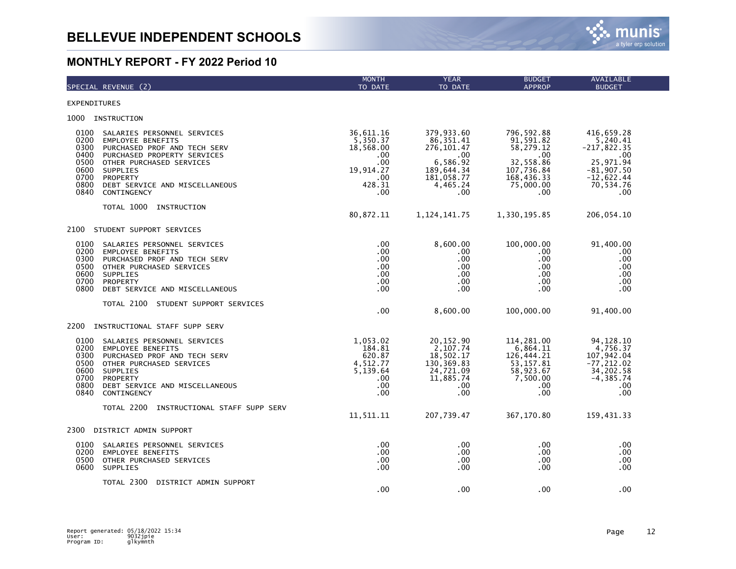|                                                                      | SPECIAL REVENUE (2)                                                                                                                                                                                                                | <b>MONTH</b><br>TO DATE                                                                                  | <b>YEAR</b><br>TO DATE                                                                                         | <b>BUDGET</b><br><b>APPROP</b>                                                                            | AVAILABLE<br><b>BUDGET</b>                                                                                      |
|----------------------------------------------------------------------|------------------------------------------------------------------------------------------------------------------------------------------------------------------------------------------------------------------------------------|----------------------------------------------------------------------------------------------------------|----------------------------------------------------------------------------------------------------------------|-----------------------------------------------------------------------------------------------------------|-----------------------------------------------------------------------------------------------------------------|
| EXPENDITURES                                                         |                                                                                                                                                                                                                                    |                                                                                                          |                                                                                                                |                                                                                                           |                                                                                                                 |
| 1000                                                                 | INSTRUCTION                                                                                                                                                                                                                        |                                                                                                          |                                                                                                                |                                                                                                           |                                                                                                                 |
| 0100<br>0200<br>0300<br>0400<br>0500<br>0600<br>0700<br>0800<br>0840 | SALARIES PERSONNEL SERVICES<br><b>EMPLOYEE BENEFITS</b><br>PURCHASED PROF AND TECH SERV<br>PURCHASED PROPERTY SERVICES<br>OTHER PURCHASED SERVICES<br><b>SUPPLIES</b><br>PROPERTY<br>DEBT SERVICE AND MISCELLANEOUS<br>CONTINGENCY | 36,611.16<br>5,350.37<br>18,568.00<br>$.00 \,$<br>.00 <sub>1</sub><br>19,914.27<br>.00.<br>428.31<br>.00 | 379,933.60<br>86, 351.41<br>276, 101.47<br>$.00 \,$<br>6,586.92<br>189,644.34<br>181,058.77<br>4,465.24<br>.00 | 796, 592.88<br>91,591.82<br>58,279.12<br>.00<br>32,558.86<br>107,736.84<br>168,436.33<br>75,000.00<br>.00 | 416,659.28<br>5,240.41<br>$-217,822.35$<br>.00<br>25,971.94<br>$-81,907.50$<br>$-12,622.44$<br>70,534.76<br>.00 |
|                                                                      | TOTAL 1000<br>INSTRUCTION                                                                                                                                                                                                          | 80,872.11                                                                                                | 1, 124, 141. 75                                                                                                | 1,330,195.85                                                                                              | 206,054.10                                                                                                      |
| 2100                                                                 | STUDENT SUPPORT SERVICES                                                                                                                                                                                                           |                                                                                                          |                                                                                                                |                                                                                                           |                                                                                                                 |
| 0100<br>0200<br>0300<br>0500<br>0600<br>0700<br>0800                 | SALARIES PERSONNEL SERVICES<br><b>EMPLOYEE BENEFITS</b><br>PURCHASED PROF AND TECH SERV<br>OTHER PURCHASED SERVICES<br>SUPPLIES<br><b>PROPERTY</b><br>DEBT SERVICE AND MISCELLANEOUS                                               | $.00 \,$<br>.00<br>.00<br>.00<br>.00<br>.00<br>$.00 \,$                                                  | 8,600.00<br>.00<br>.00<br>.00<br>.00<br>.00<br>.00                                                             | 100,000.00<br>.00<br>.00<br>.00<br>.00<br>.00<br>.00                                                      | 91,400.00<br>.00<br>.00<br>.00<br>.00<br>.00<br>.00                                                             |
|                                                                      | TOTAL 2100 STUDENT SUPPORT SERVICES                                                                                                                                                                                                | .00                                                                                                      | 8,600.00                                                                                                       | 100,000.00                                                                                                | 91,400.00                                                                                                       |
| 2200                                                                 | INSTRUCTIONAL STAFF SUPP SERV                                                                                                                                                                                                      |                                                                                                          |                                                                                                                |                                                                                                           |                                                                                                                 |
| 0100<br>0200<br>0300<br>0500<br>0600<br>0700<br>0800<br>0840         | SALARIES PERSONNEL SERVICES<br><b>EMPLOYEE BENEFITS</b><br>PURCHASED PROF AND TECH SERV<br>OTHER PURCHASED SERVICES<br>SUPPLIES<br>PROPERTY<br>DEBT SERVICE AND MISCELLANEOUS<br>CONTINGENCY                                       | 1,053.02<br>184.81<br>620.87<br>4,512.77<br>5,139.64<br>.00.<br>.00<br>.00                               | 20, 152.90<br>2,107.74<br>18,502.17<br>130, 369.83<br>24,721.09<br>11,885.74<br>.00<br>.00                     | 114,281.00<br>6,864.11<br>126,444.21<br>53, 157.81<br>58,923.67<br>7,500.00<br>.00.<br>.00                | 94, 128. 10<br>4,756.37<br>107,942.04<br>$-77, 212.02$<br>34,202.58<br>$-4, 385.74$<br>.00<br>.00               |
|                                                                      | TOTAL 2200<br>INSTRUCTIONAL STAFF SUPP SERV                                                                                                                                                                                        | 11,511.11                                                                                                | 207,739.47                                                                                                     | 367,170.80                                                                                                | 159,431.33                                                                                                      |
| 2300                                                                 | DISTRICT ADMIN SUPPORT                                                                                                                                                                                                             |                                                                                                          |                                                                                                                |                                                                                                           |                                                                                                                 |
| 0100<br>0200<br>0500<br>0600                                         | SALARIES PERSONNEL SERVICES<br><b>EMPLOYEE BENEFITS</b><br>OTHER PURCHASED SERVICES<br>SUPPLIES                                                                                                                                    | .00.<br>.00 <sub>1</sub><br>.00<br>.00                                                                   | $.00 \,$<br>.00<br>$.00 \,$<br>.00                                                                             | .00<br>.00<br>.00<br>.00                                                                                  | .00<br>.00<br>.00<br>.00                                                                                        |
|                                                                      | TOTAL 2300<br>DISTRICT ADMIN SUPPORT                                                                                                                                                                                               | .00                                                                                                      | .00                                                                                                            | .00                                                                                                       | .00                                                                                                             |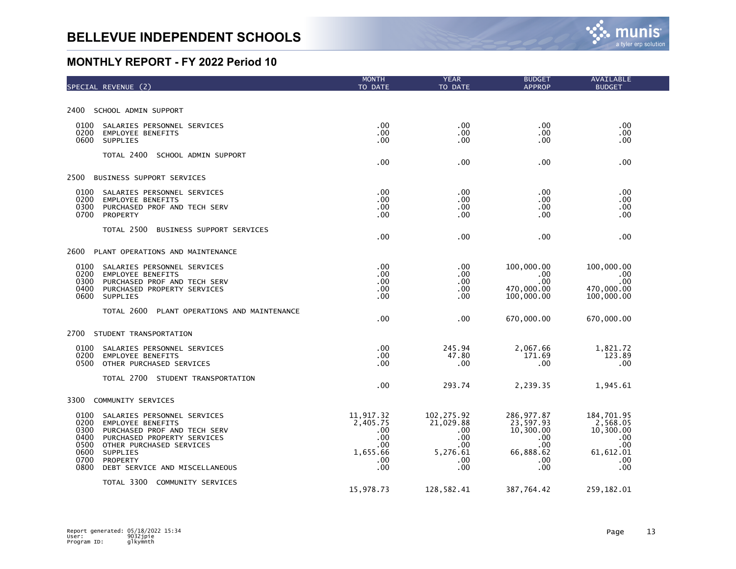| SPECIAL REVENUE (2)                                                                                                                                                                                                                                                          | <b>MONTH</b><br>TO DATE                                              | <b>YEAR</b><br>TO DATE                                                  | <b>BUDGET</b><br><b>APPROP</b>                                                  | AVAILABLE<br><b>BUDGET</b>                                                    |
|------------------------------------------------------------------------------------------------------------------------------------------------------------------------------------------------------------------------------------------------------------------------------|----------------------------------------------------------------------|-------------------------------------------------------------------------|---------------------------------------------------------------------------------|-------------------------------------------------------------------------------|
|                                                                                                                                                                                                                                                                              |                                                                      |                                                                         |                                                                                 |                                                                               |
| 2400<br>SCHOOL ADMIN SUPPORT                                                                                                                                                                                                                                                 |                                                                      |                                                                         |                                                                                 |                                                                               |
| 0100<br>SALARIES PERSONNEL SERVICES<br>0200<br><b>EMPLOYEE BENEFITS</b><br>0600<br>SUPPLIES                                                                                                                                                                                  | .00<br>.00<br>.00                                                    | .00<br>.00<br>.00                                                       | .00<br>.00<br>.00.                                                              | .00<br>.00<br>.00                                                             |
| TOTAL 2400<br>SCHOOL ADMIN SUPPORT                                                                                                                                                                                                                                           | .00                                                                  | .00                                                                     | .00                                                                             | .00                                                                           |
| 2500<br>BUSINESS SUPPORT SERVICES                                                                                                                                                                                                                                            |                                                                      |                                                                         |                                                                                 |                                                                               |
| 0100<br>SALARIES PERSONNEL SERVICES<br>0200<br>EMPLOYEE BENEFITS<br>0300<br>PURCHASED PROF AND TECH SERV<br>0700<br>PROPERTY                                                                                                                                                 | .00<br>.00<br>.00<br>.00                                             | .00<br>.00<br>.00<br>.00                                                | .00<br>.00.<br>.00<br>.00                                                       | .00<br>.00<br>.00<br>.00                                                      |
| TOTAL 2500<br>BUSINESS SUPPORT SERVICES                                                                                                                                                                                                                                      | .00                                                                  | .00                                                                     | .00                                                                             | .00                                                                           |
| PLANT OPERATIONS AND MAINTENANCE<br>2600                                                                                                                                                                                                                                     |                                                                      |                                                                         |                                                                                 |                                                                               |
| 0100<br>SALARIES PERSONNEL SERVICES<br>0200<br><b>EMPLOYEE BENEFITS</b><br>0300<br>PURCHASED PROF AND TECH SERV<br>0400<br>PURCHASED PROPERTY SERVICES<br>0600<br>SUPPLIES                                                                                                   | .00<br>.00<br>.00<br>.00<br>.00                                      | .00<br>.00<br>.00<br>.00<br>.00                                         | 100,000.00<br>.00<br>.00<br>470,000.00<br>100,000.00                            | 100,000.00<br>.00<br>.00<br>470,000.00<br>100,000.00                          |
| TOTAL 2600<br>PLANT OPERATIONS AND MAINTENANCE                                                                                                                                                                                                                               | .00                                                                  | .00                                                                     | 670,000.00                                                                      | 670,000.00                                                                    |
| 2700<br>STUDENT TRANSPORTATION                                                                                                                                                                                                                                               |                                                                      |                                                                         |                                                                                 |                                                                               |
| 0100<br>SALARIES PERSONNEL SERVICES<br>0200<br><b>EMPLOYEE BENEFITS</b><br>0500<br>OTHER PURCHASED SERVICES                                                                                                                                                                  | .00<br>.00<br>.00                                                    | 245.94<br>47.80<br>.00                                                  | 2,067.66<br>171.69<br>.00                                                       | 1,821.72<br>123.89<br>.00                                                     |
| TOTAL 2700 STUDENT TRANSPORTATION                                                                                                                                                                                                                                            | .00                                                                  | 293.74                                                                  | 2,239.35                                                                        | 1,945.61                                                                      |
| 3300<br>COMMUNITY SERVICES                                                                                                                                                                                                                                                   |                                                                      |                                                                         |                                                                                 |                                                                               |
| 0100<br>SALARIES PERSONNEL SERVICES<br>0200<br><b>EMPLOYEE BENEFITS</b><br>0300<br>PURCHASED PROF AND TECH SERV<br>0400<br>PURCHASED PROPERTY SERVICES<br>0500<br>OTHER PURCHASED SERVICES<br>0600<br>SUPPLIES<br>0700<br>PROPERTY<br>0800<br>DEBT SERVICE AND MISCELLANEOUS | 11,917.32<br>2,405.75<br>.00<br>.00<br>.00<br>1,655.66<br>.00<br>.00 | 102, 275.92<br>21,029.88<br>.00<br>.00<br>.00<br>5,276.61<br>.00<br>.00 | 286, 977.87<br>23,597.93<br>10,300.00<br>.00.<br>.00<br>66,888.62<br>.00<br>.00 | 184,701.95<br>2,568.05<br>10,300.00<br>.00<br>.00<br>61, 612.01<br>.00<br>.00 |
| TOTAL 3300 COMMUNITY SERVICES                                                                                                                                                                                                                                                | 15,978.73                                                            | 128,582.41                                                              | 387,764.42                                                                      | 259,182.01                                                                    |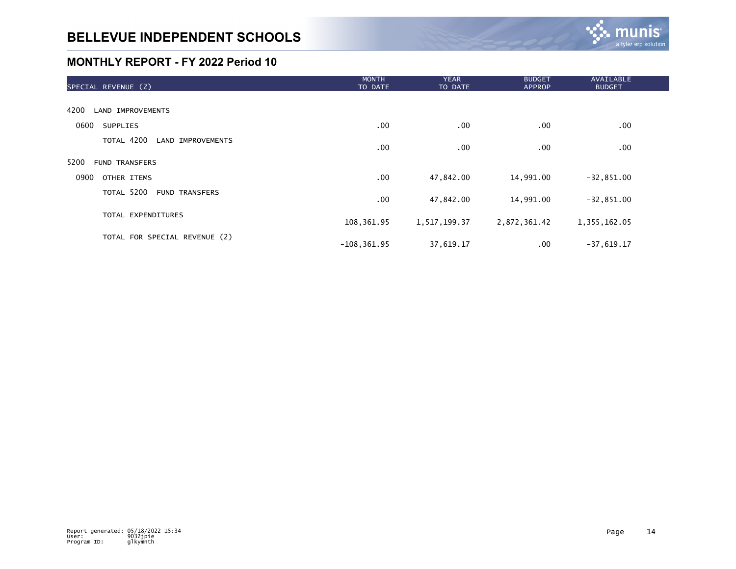

| SPECIAL REVENUE (2)                 | <b>MONTH</b><br>TO DATE | <b>YEAR</b><br>TO DATE | <b>BUDGET</b><br><b>APPROP</b> | AVAILABLE<br><b>BUDGET</b> |  |
|-------------------------------------|-------------------------|------------------------|--------------------------------|----------------------------|--|
|                                     |                         |                        |                                |                            |  |
| 4200<br><b>LAND IMPROVEMENTS</b>    |                         |                        |                                |                            |  |
| 0600<br><b>SUPPLIES</b>             | .00                     | .00                    | .00                            | .00                        |  |
| TOTAL 4200 LAND IMPROVEMENTS        | .00 <sub>1</sub>        | .00                    | .00                            | .00                        |  |
| 5200<br><b>FUND TRANSFERS</b>       |                         |                        |                                |                            |  |
| 0900<br>OTHER ITEMS                 | .00                     | 47,842.00              | 14,991.00                      | $-32,851.00$               |  |
| TOTAL 5200<br><b>FUND TRANSFERS</b> | .00                     | 47,842.00              | 14,991.00                      | $-32,851.00$               |  |
| TOTAL EXPENDITURES                  | 108,361.95              | 1,517,199.37           | 2,872,361.42                   | 1,355,162.05               |  |
| TOTAL FOR SPECIAL REVENUE (2)       | $-108, 361.95$          | 37,619.17              | $.00 \,$                       | $-37,619.17$               |  |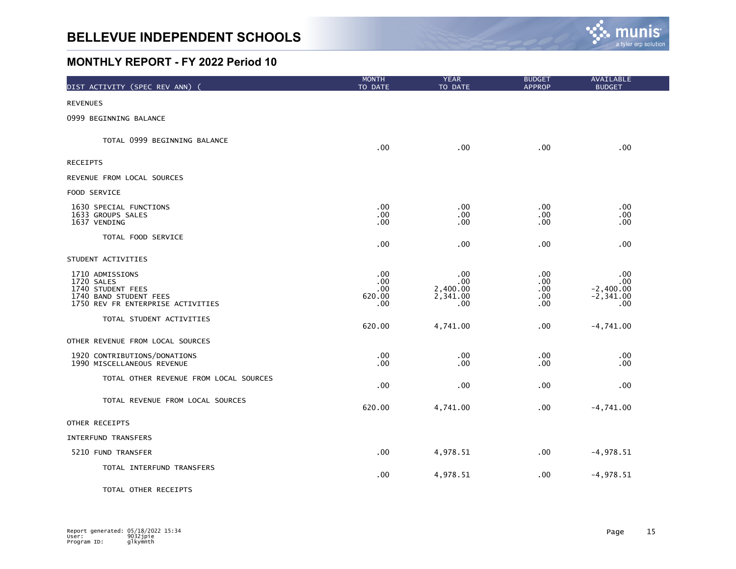

| DIST ACTIVITY (SPEC REV ANN)                                                                                      | <b>MONTH</b><br>TO DATE             | <b>YEAR</b><br>TO DATE                    | <b>BUDGET</b><br><b>APPROP</b>   | <b>AVAILABLE</b><br><b>BUDGET</b>                  |
|-------------------------------------------------------------------------------------------------------------------|-------------------------------------|-------------------------------------------|----------------------------------|----------------------------------------------------|
| <b>REVENUES</b>                                                                                                   |                                     |                                           |                                  |                                                    |
| 0999 BEGINNING BALANCE                                                                                            |                                     |                                           |                                  |                                                    |
| TOTAL 0999 BEGINNING BALANCE                                                                                      | .00                                 | .00                                       | .00.                             | .00                                                |
| <b>RECEIPTS</b>                                                                                                   |                                     |                                           |                                  |                                                    |
| REVENUE FROM LOCAL SOURCES                                                                                        |                                     |                                           |                                  |                                                    |
| FOOD SERVICE                                                                                                      |                                     |                                           |                                  |                                                    |
| 1630 SPECIAL FUNCTIONS<br>1633 GROUPS SALES<br>1637 VENDING                                                       | .00<br>.00<br>.00                   | .00<br>.00<br>.00                         | .00<br>.00<br>.00                | $.00 \,$<br>.00<br>.00.                            |
| TOTAL FOOD SERVICE                                                                                                | .00                                 | .00                                       | .00                              | .00                                                |
| STUDENT ACTIVITIES                                                                                                |                                     |                                           |                                  |                                                    |
| 1710 ADMISSIONS<br>1720 SALES<br>1740 STUDENT FEES<br>1740 BAND STUDENT FEES<br>1750 REV FR ENTERPRISE ACTIVITIES | .00<br>.00<br>.00.<br>620.00<br>.00 | .00<br>.00<br>2,400.00<br>2,341.00<br>.00 | .00<br>.00<br>.00.<br>.00<br>.00 | .00.<br>.00<br>$-2,400.00$<br>$-2, 341.00$<br>.00. |
| TOTAL STUDENT ACTIVITIES                                                                                          | 620.00                              | 4,741.00                                  | .00                              | $-4,741.00$                                        |
| OTHER REVENUE FROM LOCAL SOURCES                                                                                  |                                     |                                           |                                  |                                                    |
| 1920 CONTRIBUTIONS/DONATIONS<br>1990 MISCELLANEOUS REVENUE                                                        | .00<br>.00                          | $.00 \,$<br>.00                           | .00<br>.00                       | $.00 \,$<br>.00.                                   |
| TOTAL OTHER REVENUE FROM LOCAL SOURCES                                                                            | .00                                 | .00                                       | .00                              | .00.                                               |
| TOTAL REVENUE FROM LOCAL SOURCES                                                                                  | 620.00                              | 4,741.00                                  | .00                              | $-4,741.00$                                        |
| OTHER RECEIPTS                                                                                                    |                                     |                                           |                                  |                                                    |
| INTERFUND TRANSFERS                                                                                               |                                     |                                           |                                  |                                                    |
| 5210 FUND TRANSFER                                                                                                | .00                                 | 4,978.51                                  | $.00 \,$                         | $-4,978.51$                                        |
| TOTAL INTERFUND TRANSFERS                                                                                         | .00                                 | 4,978.51                                  | .00                              | $-4,978.51$                                        |
| TOTAL OTHER RECEIPTS                                                                                              |                                     |                                           |                                  |                                                    |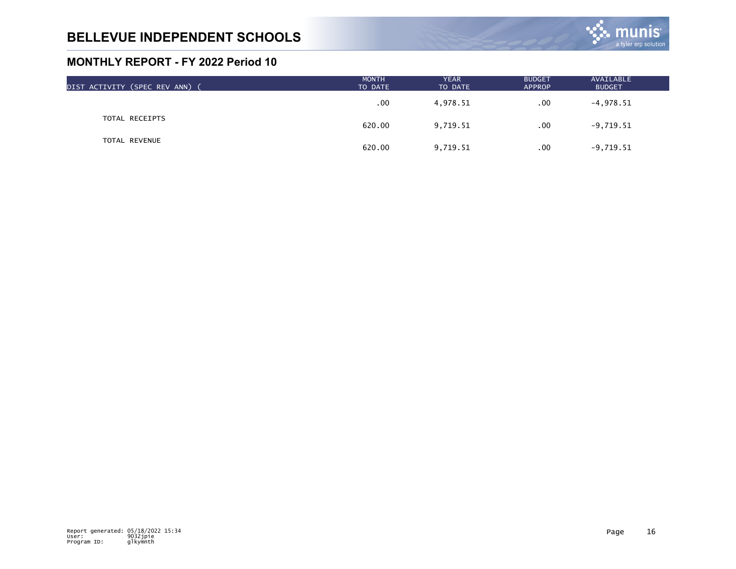

| DIST ACTIVITY (SPEC REV ANN) ( | <b>MONTH</b><br>TO DATE | <b>YEAR</b><br>TO DATE | <b>BUDGET</b><br>APPROP | AVAILABLE<br><b>BUDGET</b> |  |
|--------------------------------|-------------------------|------------------------|-------------------------|----------------------------|--|
|                                | .00                     | 4,978.51               | .00                     | $-4,978.51$                |  |
| TOTAL RECEIPTS                 | 620.00                  | 9,719.51               | .00                     | $-9,719.51$                |  |
| TOTAL REVENUE                  | 620.00                  | 9,719.51               | .00                     | $-9,719.51$                |  |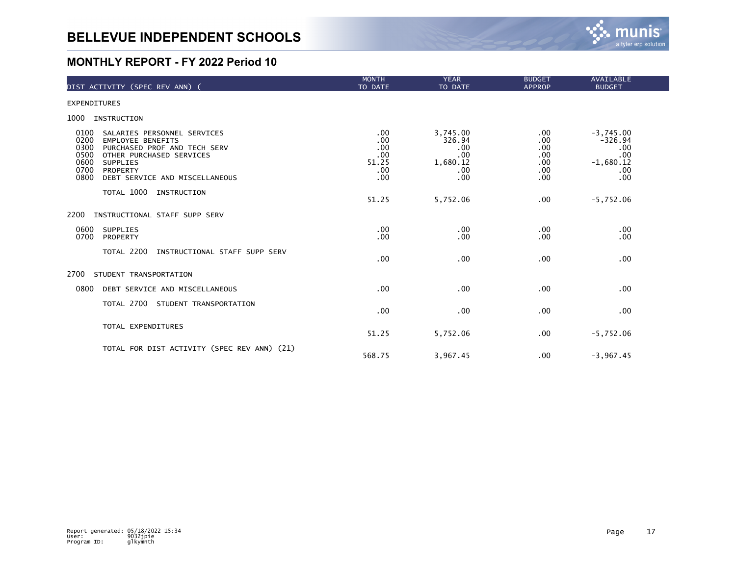

| DIST ACTIVITY (SPEC REV ANN) (                                                                                                                                                                                                        | <b>MONTH</b><br>TO DATE                         | <b>YEAR</b><br>TO DATE                                     | <b>BUDGET</b><br><b>APPROP</b>                     | <b>AVAILABLE</b><br><b>BUDGET</b>                                   |
|---------------------------------------------------------------------------------------------------------------------------------------------------------------------------------------------------------------------------------------|-------------------------------------------------|------------------------------------------------------------|----------------------------------------------------|---------------------------------------------------------------------|
| <b>EXPENDITURES</b>                                                                                                                                                                                                                   |                                                 |                                                            |                                                    |                                                                     |
| 1000<br>INSTRUCTION                                                                                                                                                                                                                   |                                                 |                                                            |                                                    |                                                                     |
| 0100<br>SALARIES PERSONNEL SERVICES<br>0200<br><b>EMPLOYEE BENEFITS</b><br>0300<br>PURCHASED PROF AND TECH SERV<br>0500<br>OTHER PURCHASED SERVICES<br>0600<br>SUPPLIES<br>0700<br>PROPERTY<br>0800<br>DEBT SERVICE AND MISCELLANEOUS | .00<br>.00<br>.00<br>.00<br>51.25<br>.00<br>.00 | 3,745.00<br>326.94<br>.00<br>.00<br>1,680.12<br>.00<br>.00 | $.00 \,$<br>.00<br>.00<br>.00<br>.00<br>.00<br>.00 | $-3,745.00$<br>$-326.94$<br>.00<br>.00<br>$-1,680.12$<br>.00<br>.00 |
| TOTAL 1000<br>INSTRUCTION                                                                                                                                                                                                             | 51.25                                           | 5,752.06                                                   | .00                                                | $-5,752.06$                                                         |
| 2200<br>INSTRUCTIONAL STAFF SUPP SERV                                                                                                                                                                                                 |                                                 |                                                            |                                                    |                                                                     |
| 0600<br><b>SUPPLIES</b><br>0700<br>PROPERTY                                                                                                                                                                                           | .00<br>.00                                      | .00<br>.00                                                 | $.00 \,$<br>.00                                    | .00<br>.00                                                          |
| TOTAL 2200<br>INSTRUCTIONAL STAFF SUPP SERV                                                                                                                                                                                           | .00                                             | .00                                                        | .00                                                | .00                                                                 |
| 2700<br>STUDENT TRANSPORTATION                                                                                                                                                                                                        |                                                 |                                                            |                                                    |                                                                     |
| 0800<br>DEBT SERVICE AND MISCELLANEOUS                                                                                                                                                                                                | .00                                             | .00                                                        | .00                                                | .00                                                                 |
| TOTAL 2700<br>STUDENT TRANSPORTATION                                                                                                                                                                                                  | .00                                             | .00                                                        | .00                                                | .00                                                                 |
| TOTAL EXPENDITURES                                                                                                                                                                                                                    | 51.25                                           | 5,752.06                                                   | .00                                                | $-5,752.06$                                                         |
| TOTAL FOR DIST ACTIVITY (SPEC REV ANN) (21)                                                                                                                                                                                           | 568.75                                          | 3,967.45                                                   | $.00 \,$                                           | $-3,967.45$                                                         |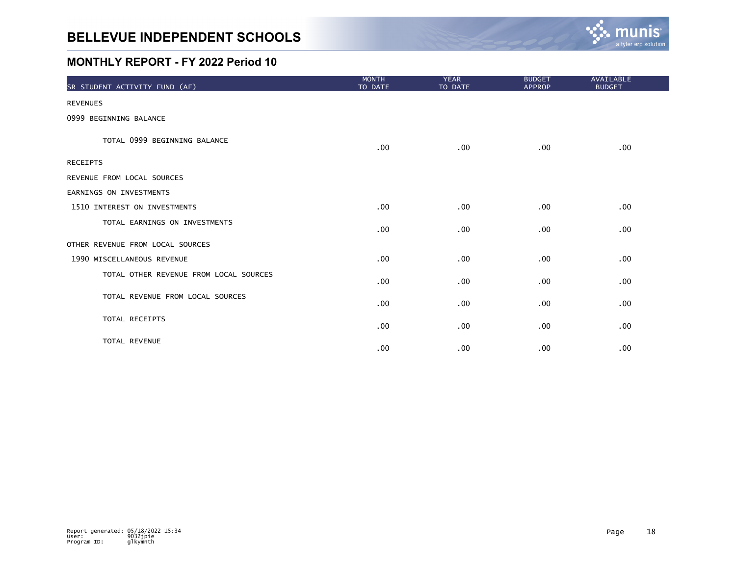

| SR STUDENT ACTIVITY FUND (AF)          | <b>MONTH</b><br>TO DATE | <b>YEAR</b><br>TO DATE | <b>BUDGET</b><br><b>APPROP</b> | AVAILABLE<br><b>BUDGET</b> |
|----------------------------------------|-------------------------|------------------------|--------------------------------|----------------------------|
| <b>REVENUES</b>                        |                         |                        |                                |                            |
| 0999 BEGINNING BALANCE                 |                         |                        |                                |                            |
| TOTAL 0999 BEGINNING BALANCE           | .00                     | $.00 \,$               | .00                            | .00                        |
| <b>RECEIPTS</b>                        |                         |                        |                                |                            |
| REVENUE FROM LOCAL SOURCES             |                         |                        |                                |                            |
| EARNINGS ON INVESTMENTS                |                         |                        |                                |                            |
| 1510 INTEREST ON INVESTMENTS           | .00                     | .00                    | .00                            | .00                        |
| TOTAL EARNINGS ON INVESTMENTS          | .00                     | .00                    | .00                            | .00                        |
| OTHER REVENUE FROM LOCAL SOURCES       |                         |                        |                                |                            |
| 1990 MISCELLANEOUS REVENUE             | .00                     | .00                    | .00                            | .00                        |
| TOTAL OTHER REVENUE FROM LOCAL SOURCES | .00                     | .00                    | .00                            | .00                        |
| TOTAL REVENUE FROM LOCAL SOURCES       | .00                     | .00                    | .00                            | .00                        |
| TOTAL RECEIPTS                         | .00                     | .00                    | .00                            | .00                        |
| TOTAL REVENUE                          | .00                     | .00                    | .00                            | .00                        |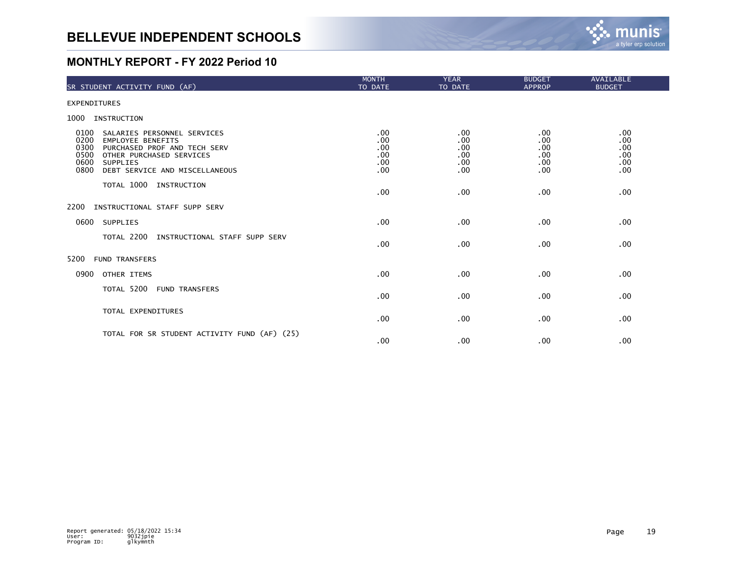

| SR STUDENT ACTIVITY FUND (AF)                                                                                                                                                                                            | <b>MONTH</b><br>TO DATE                | <b>YEAR</b><br>TO DATE                 | <b>BUDGET</b><br><b>APPROP</b>         | AVAILABLE<br><b>BUDGET</b>             |
|--------------------------------------------------------------------------------------------------------------------------------------------------------------------------------------------------------------------------|----------------------------------------|----------------------------------------|----------------------------------------|----------------------------------------|
| <b>EXPENDITURES</b>                                                                                                                                                                                                      |                                        |                                        |                                        |                                        |
| 1000<br>INSTRUCTION                                                                                                                                                                                                      |                                        |                                        |                                        |                                        |
| 0100<br>SALARIES PERSONNEL SERVICES<br>0200<br><b>EMPLOYEE BENEFITS</b><br>0300<br>PURCHASED PROF AND TECH SERV<br>0500<br>OTHER PURCHASED SERVICES<br>0600<br><b>SUPPLIES</b><br>0800<br>DEBT SERVICE AND MISCELLANEOUS | .00<br>.00<br>.00<br>.00<br>.00<br>.00 | .00<br>.00<br>.00<br>.00<br>.00<br>.00 | .00<br>.00<br>.00<br>.00<br>.00<br>.00 | .00<br>.00<br>.00<br>.00<br>.00<br>.00 |
| TOTAL 1000<br>INSTRUCTION                                                                                                                                                                                                | .00                                    | .00                                    | .00                                    | .00                                    |
| 2200<br>INSTRUCTIONAL STAFF SUPP SERV                                                                                                                                                                                    |                                        |                                        |                                        |                                        |
| SUPPLIES<br>0600                                                                                                                                                                                                         | .00                                    | .00                                    | .00                                    | .00                                    |
| TOTAL 2200<br>INSTRUCTIONAL STAFF SUPP SERV                                                                                                                                                                              | .00                                    | .00                                    | .00                                    | .00                                    |
| 5200<br><b>FUND TRANSFERS</b>                                                                                                                                                                                            |                                        |                                        |                                        |                                        |
| 0900<br>OTHER ITEMS                                                                                                                                                                                                      | .00                                    | .00                                    | .00                                    | .00                                    |
| TOTAL 5200 FUND TRANSFERS                                                                                                                                                                                                | .00                                    | .00                                    | .00                                    | .00                                    |
| TOTAL EXPENDITURES                                                                                                                                                                                                       | .00                                    | .00                                    | .00                                    | .00                                    |
| TOTAL FOR SR STUDENT ACTIVITY FUND (AF) (25)                                                                                                                                                                             | .00                                    | .00                                    | .00                                    | .00                                    |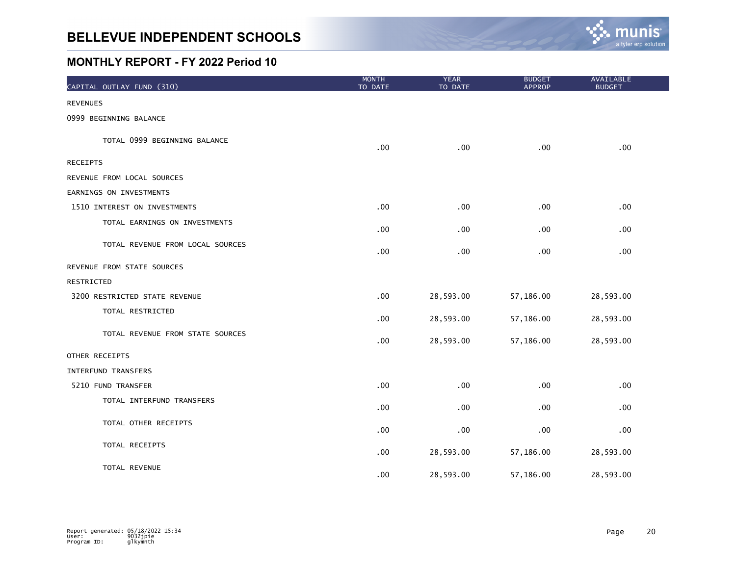

| CAPITAL OUTLAY FUND (310)        | <b>MONTH</b><br>TO DATE | <b>YEAR</b><br>TO DATE | <b>BUDGET</b><br><b>APPROP</b> | <b>AVAILABLE</b><br><b>BUDGET</b> |
|----------------------------------|-------------------------|------------------------|--------------------------------|-----------------------------------|
| <b>REVENUES</b>                  |                         |                        |                                |                                   |
| 0999 BEGINNING BALANCE           |                         |                        |                                |                                   |
| TOTAL 0999 BEGINNING BALANCE     | .00                     | .00                    | .00                            | .00                               |
| <b>RECEIPTS</b>                  |                         |                        |                                |                                   |
| REVENUE FROM LOCAL SOURCES       |                         |                        |                                |                                   |
| EARNINGS ON INVESTMENTS          |                         |                        |                                |                                   |
| 1510 INTEREST ON INVESTMENTS     | .00                     | .00                    | .00                            | .00                               |
| TOTAL EARNINGS ON INVESTMENTS    | .00                     | .00                    | .00                            | .00                               |
| TOTAL REVENUE FROM LOCAL SOURCES | .00                     | .00                    | .00                            | .00                               |
| REVENUE FROM STATE SOURCES       |                         |                        |                                |                                   |
| RESTRICTED                       |                         |                        |                                |                                   |
| 3200 RESTRICTED STATE REVENUE    | .00                     | 28,593.00              | 57,186.00                      | 28,593.00                         |
| TOTAL RESTRICTED                 | .00                     | 28,593.00              | 57,186.00                      | 28,593.00                         |
| TOTAL REVENUE FROM STATE SOURCES | .00                     | 28,593.00              | 57,186.00                      | 28,593.00                         |
| OTHER RECEIPTS                   |                         |                        |                                |                                   |
| <b>INTERFUND TRANSFERS</b>       |                         |                        |                                |                                   |
| 5210 FUND TRANSFER               | .00                     | .00                    | .00                            | .00                               |
| TOTAL INTERFUND TRANSFERS        | .00                     | .00                    | .00                            | .00                               |
| TOTAL OTHER RECEIPTS             | .00                     | .00 <sub>1</sub>       | .00                            | .00                               |
| TOTAL RECEIPTS                   | .00                     | 28,593.00              | 57,186.00                      | 28,593.00                         |
| TOTAL REVENUE                    | .00                     | 28,593.00              | 57,186.00                      | 28,593.00                         |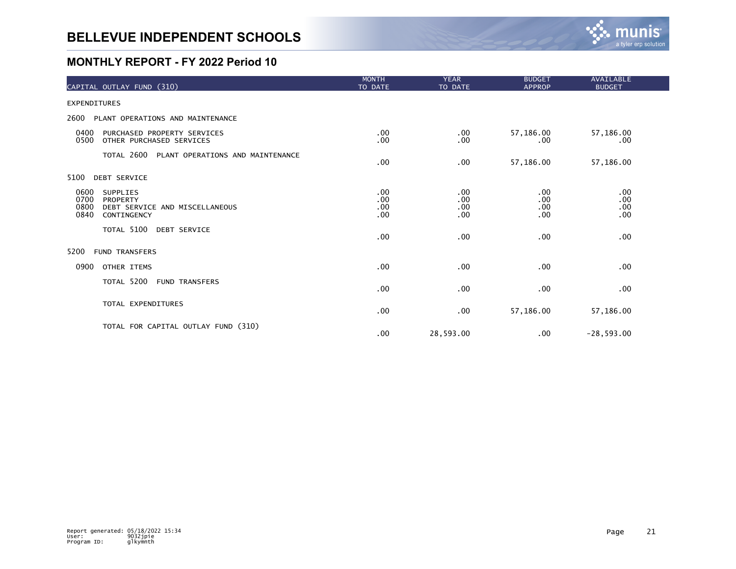

| CAPITAL OUTLAY FUND (310)                                                                                    | <b>MONTH</b><br>TO DATE  | <b>YEAR</b><br>TO DATE   | <b>BUDGET</b><br><b>APPROP</b> | AVAILABLE<br><b>BUDGET</b> |  |
|--------------------------------------------------------------------------------------------------------------|--------------------------|--------------------------|--------------------------------|----------------------------|--|
| <b>EXPENDITURES</b>                                                                                          |                          |                          |                                |                            |  |
| 2600<br>PLANT OPERATIONS AND MAINTENANCE                                                                     |                          |                          |                                |                            |  |
| 0400<br>PURCHASED PROPERTY SERVICES<br>0500<br>OTHER PURCHASED SERVICES                                      | .00<br>.00               | $.00 \,$<br>.00          | 57,186.00<br>.00               | 57,186.00<br>.00           |  |
| TOTAL 2600 PLANT OPERATIONS AND MAINTENANCE                                                                  | .00                      | .00                      | 57,186.00                      | 57,186.00                  |  |
| 5100<br><b>DEBT SERVICE</b>                                                                                  |                          |                          |                                |                            |  |
| 0600<br><b>SUPPLIES</b><br>0700<br>PROPERTY<br>0800<br>DEBT SERVICE AND MISCELLANEOUS<br>0840<br>CONTINGENCY | .00<br>.00<br>.00<br>.00 | .00<br>.00<br>.00<br>.00 | .00<br>.00<br>.00<br>.00       | .00<br>.00<br>.00<br>.00   |  |
| TOTAL 5100<br><b>DEBT SERVICE</b>                                                                            | .00                      | .00                      | .00                            | .00                        |  |
| 5200<br><b>FUND TRANSFERS</b>                                                                                |                          |                          |                                |                            |  |
| 0900<br>OTHER ITEMS                                                                                          | .00                      | .00                      | .00                            | .00                        |  |
| TOTAL 5200 FUND TRANSFERS                                                                                    | .00                      | .00                      | .00                            | .00                        |  |
| TOTAL EXPENDITURES                                                                                           | .00                      | .00                      | 57,186.00                      | 57,186.00                  |  |
| TOTAL FOR CAPITAL OUTLAY FUND (310)                                                                          | .00                      | 28,593.00                | .00                            | $-28,593.00$               |  |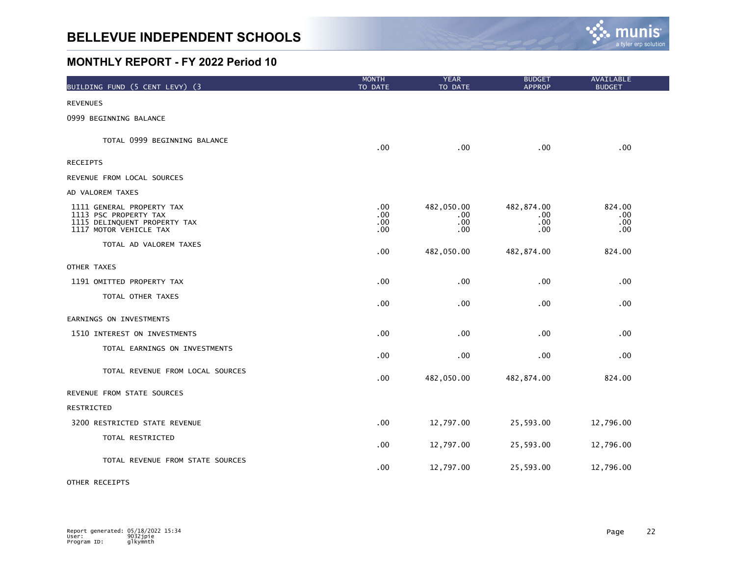

| BUILDING FUND (5 CENT LEVY) (3                                                                               | <b>MONTH</b><br>TO DATE  | <b>YEAR</b><br>TO DATE            | <b>BUDGET</b><br><b>APPROP</b>    | AVAILABLE<br><b>BUDGET</b>    |  |
|--------------------------------------------------------------------------------------------------------------|--------------------------|-----------------------------------|-----------------------------------|-------------------------------|--|
| <b>REVENUES</b>                                                                                              |                          |                                   |                                   |                               |  |
| 0999 BEGINNING BALANCE                                                                                       |                          |                                   |                                   |                               |  |
| TOTAL 0999 BEGINNING BALANCE                                                                                 | .00                      | .00                               | .00                               | .00                           |  |
| <b>RECEIPTS</b>                                                                                              |                          |                                   |                                   |                               |  |
| REVENUE FROM LOCAL SOURCES                                                                                   |                          |                                   |                                   |                               |  |
| AD VALOREM TAXES                                                                                             |                          |                                   |                                   |                               |  |
| 1111 GENERAL PROPERTY TAX<br>1113 PSC PROPERTY TAX<br>1115 DELINQUENT PROPERTY TAX<br>1117 MOTOR VEHICLE TAX | .00<br>.00<br>.00<br>.00 | 482,050.00<br>.00.<br>.00.<br>.00 | 482,874.00<br>.00.<br>.00.<br>.00 | 824.00<br>.00.<br>.00.<br>.00 |  |
| TOTAL AD VALOREM TAXES                                                                                       | .00                      | 482,050.00                        | 482,874.00                        | 824.00                        |  |
| OTHER TAXES                                                                                                  |                          |                                   |                                   |                               |  |
| 1191 OMITTED PROPERTY TAX                                                                                    | .00                      | .00                               | .00                               | .00.                          |  |
| TOTAL OTHER TAXES                                                                                            | .00                      | .00                               | .00                               | .00                           |  |
| EARNINGS ON INVESTMENTS                                                                                      |                          |                                   |                                   |                               |  |
| 1510 INTEREST ON INVESTMENTS                                                                                 | .00                      | .00                               | .00                               | .00                           |  |
| TOTAL EARNINGS ON INVESTMENTS                                                                                | .00                      | .00                               | .00                               | .00                           |  |
| TOTAL REVENUE FROM LOCAL SOURCES                                                                             | .00                      | 482,050.00                        | 482,874.00                        | 824.00                        |  |
| REVENUE FROM STATE SOURCES                                                                                   |                          |                                   |                                   |                               |  |
| RESTRICTED                                                                                                   |                          |                                   |                                   |                               |  |
| 3200 RESTRICTED STATE REVENUE                                                                                | .00                      | 12,797.00                         | 25,593.00                         | 12,796.00                     |  |
| TOTAL RESTRICTED                                                                                             | .00                      | 12,797.00                         | 25,593.00                         | 12,796.00                     |  |
| TOTAL REVENUE FROM STATE SOURCES                                                                             | .00                      | 12,797.00                         | 25,593.00                         | 12,796.00                     |  |

#### OTHER RECEIPTS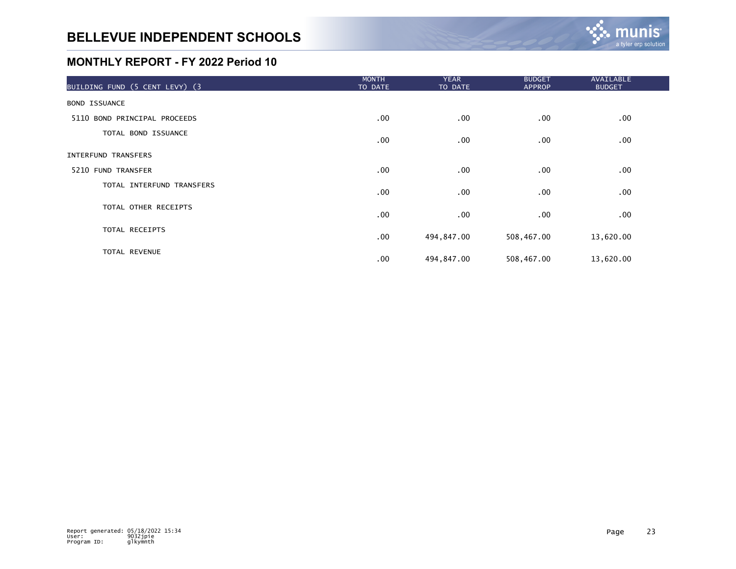| BUILDING FUND (5 CENT LEVY) (3 | <b>MONTH</b><br>TO DATE | <b>YEAR</b><br>TO DATE | <b>BUDGET</b><br><b>APPROP</b> | AVAILABLE<br><b>BUDGET</b> |  |
|--------------------------------|-------------------------|------------------------|--------------------------------|----------------------------|--|
| <b>BOND ISSUANCE</b>           |                         |                        |                                |                            |  |
| 5110 BOND PRINCIPAL PROCEEDS   | .00                     | $.00 \,$               | $.00 \,$                       | .00                        |  |
| TOTAL BOND ISSUANCE            | $.00 \,$                | $.00 \,$               | $.00 \,$                       | .00                        |  |
| INTERFUND TRANSFERS            |                         |                        |                                |                            |  |
| 5210 FUND TRANSFER             | $.00 \,$                | $.00 \,$               | $.00 \,$                       | .00                        |  |
| TOTAL INTERFUND TRANSFERS      | $.00 \,$                | $.00 \,$               | $.00 \,$                       | .00                        |  |
| TOTAL OTHER RECEIPTS           | $.00 \,$                | $.00 \,$               | $.00 \,$                       | $.00 \,$                   |  |
| TOTAL RECEIPTS                 | $.00 \,$                | 494,847.00             | 508,467.00                     | 13,620.00                  |  |
| <b>TOTAL REVENUE</b>           | .00                     | 494,847.00             | 508,467.00                     | 13,620.00                  |  |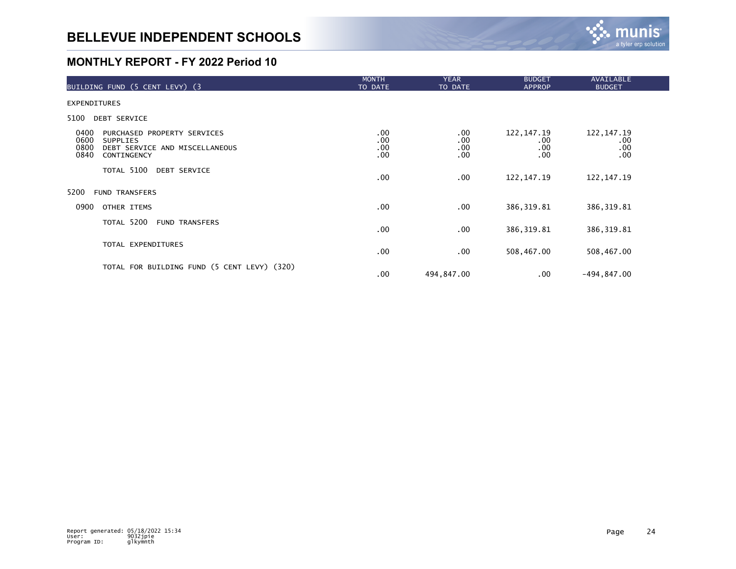

| BUILDING FUND (5 CENT LEVY) (3                                                                                                  | <b>MONTH</b><br>TO DATE  | <b>YEAR</b><br>TO DATE             | <b>BUDGET</b><br><b>APPROP</b>           | <b>AVAILABLE</b><br><b>BUDGET</b> |
|---------------------------------------------------------------------------------------------------------------------------------|--------------------------|------------------------------------|------------------------------------------|-----------------------------------|
| <b>EXPENDITURES</b>                                                                                                             |                          |                                    |                                          |                                   |
| 5100<br><b>DEBT SERVICE</b>                                                                                                     |                          |                                    |                                          |                                   |
| 0400<br>PURCHASED PROPERTY SERVICES<br>0600<br><b>SUPPLIES</b><br>0800<br>DEBT SERVICE AND MISCELLANEOUS<br>0840<br>CONTINGENCY | .00<br>.00<br>.00<br>.00 | $.00 \,$<br>.00<br>.00<br>$.00 \,$ | 122, 147. 19<br>$.00 \,$<br>.00.<br>.00. | 122, 147. 19<br>.00<br>.00<br>.00 |
| TOTAL 5100<br><b>DEBT SERVICE</b>                                                                                               | .00.                     | $.00 \,$                           | 122, 147. 19                             | 122, 147. 19                      |
| 5200<br><b>FUND TRANSFERS</b>                                                                                                   |                          |                                    |                                          |                                   |
| 0900<br>OTHER ITEMS                                                                                                             | .00.                     | $.00 \,$                           | 386, 319.81                              | 386, 319.81                       |
| TOTAL 5200<br><b>FUND TRANSFERS</b>                                                                                             | .00.                     | $.00 \,$                           | 386, 319.81                              | 386, 319.81                       |
| TOTAL EXPENDITURES                                                                                                              | .00                      | .00                                | 508,467.00                               | 508,467.00                        |
| TOTAL FOR BUILDING FUND (5 CENT LEVY) (320)                                                                                     | .00                      | 494,847.00                         | .00                                      | $-494, 847.00$                    |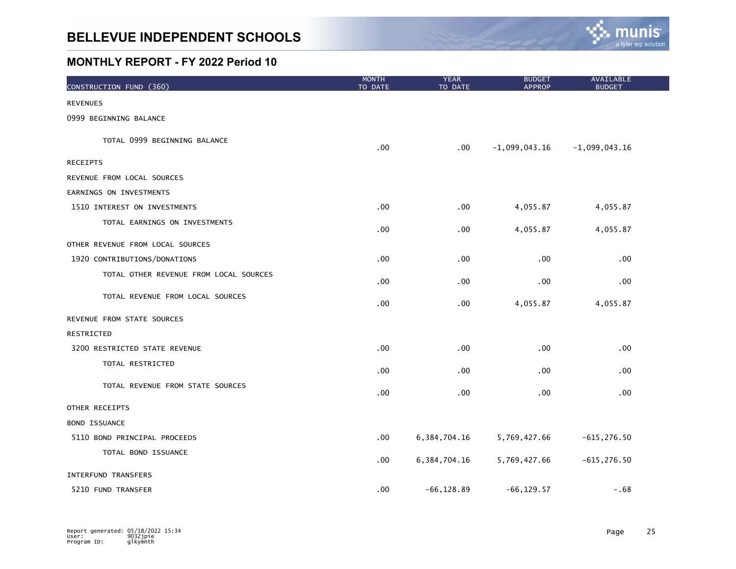

| CONSTRUCTION FUND (360)                | <b>MONTH</b><br>TO DATE | <b>YEAR</b><br>TO DATE | <b>BUDGET</b><br><b>APPROP</b> | AVAILABLE<br><b>BUDGET</b> |  |
|----------------------------------------|-------------------------|------------------------|--------------------------------|----------------------------|--|
| <b>REVENUES</b>                        |                         |                        |                                |                            |  |
| 0999 BEGINNING BALANCE                 |                         |                        |                                |                            |  |
| TOTAL 0999 BEGINNING BALANCE           | .00                     | $.00 \,$               | $-1,099,043.16$                | $-1,099,043.16$            |  |
| <b>RECEIPTS</b>                        |                         |                        |                                |                            |  |
| REVENUE FROM LOCAL SOURCES             |                         |                        |                                |                            |  |
| EARNINGS ON INVESTMENTS                |                         |                        |                                |                            |  |
| 1510 INTEREST ON INVESTMENTS           | .00.                    | .00                    | 4,055.87                       | 4,055.87                   |  |
| TOTAL EARNINGS ON INVESTMENTS          | .00                     | .00                    | 4,055.87                       | 4,055.87                   |  |
| OTHER REVENUE FROM LOCAL SOURCES       |                         |                        |                                |                            |  |
| 1920 CONTRIBUTIONS/DONATIONS           | .00.                    | .00                    | .00                            | .00                        |  |
| TOTAL OTHER REVENUE FROM LOCAL SOURCES | .00.                    | .00                    | $.00 \,$                       | .00                        |  |
| TOTAL REVENUE FROM LOCAL SOURCES       | .00                     | .00                    | 4,055.87                       | 4,055.87                   |  |
| REVENUE FROM STATE SOURCES             |                         |                        |                                |                            |  |
| RESTRICTED                             |                         |                        |                                |                            |  |
| 3200 RESTRICTED STATE REVENUE          | .00                     | .00                    | .00                            | .00                        |  |
| TOTAL RESTRICTED                       | .00                     | .00                    | .00                            | .00                        |  |
| TOTAL REVENUE FROM STATE SOURCES       | .00                     | .00                    | .00                            | .00                        |  |
| OTHER RECEIPTS                         |                         |                        |                                |                            |  |
| <b>BOND ISSUANCE</b>                   |                         |                        |                                |                            |  |
| 5110 BOND PRINCIPAL PROCEEDS           | .00                     | 6, 384, 704. 16        | 5,769,427.66                   | $-615, 276.50$             |  |
| TOTAL BOND ISSUANCE                    | .00.                    | 6, 384, 704. 16        | 5,769,427.66                   | $-615, 276.50$             |  |
| <b>INTERFUND TRANSFERS</b>             |                         |                        |                                |                            |  |
| 5210 FUND TRANSFER                     | .00                     | $-66, 128.89$          | $-66, 129.57$                  | $-.68$                     |  |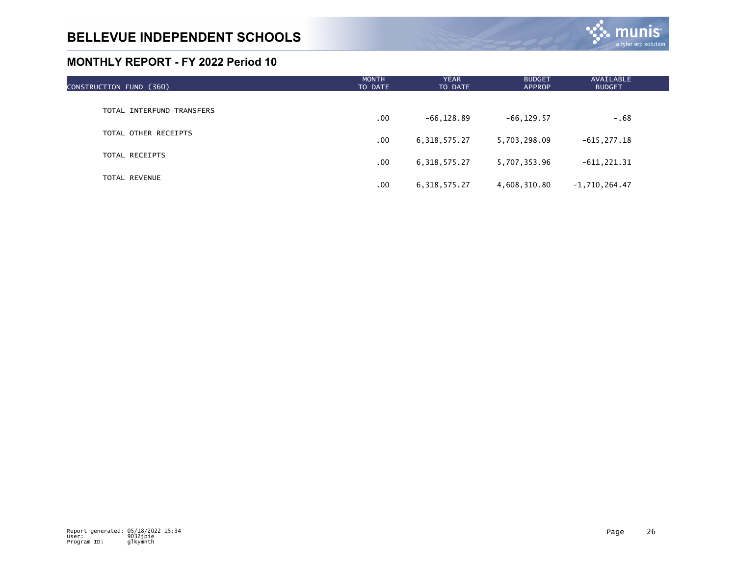

| CONSTRUCTION FUND (360)   | <b>MONTH</b><br>TO DATE | <b>YEAR</b><br>TO DATE | <b>BUDGET</b><br><b>APPROP</b> | <b>AVAILABLE</b><br><b>BUDGET</b> |  |
|---------------------------|-------------------------|------------------------|--------------------------------|-----------------------------------|--|
|                           |                         |                        |                                |                                   |  |
| TOTAL INTERFUND TRANSFERS | .00                     | $-66, 128.89$          | $-66, 129.57$                  | $-0.68$                           |  |
| TOTAL OTHER RECEIPTS      | .00                     | 6,318,575.27           | 5,703,298.09                   | $-615, 277.18$                    |  |
| TOTAL RECEIPTS            |                         |                        |                                |                                   |  |
|                           | .00                     | 6, 318, 575. 27        | 5,707,353.96                   | $-611, 221.31$                    |  |
| TOTAL REVENUE             | .00                     | 6, 318, 575.27         | 4,608,310.80                   | $-1,710,264.47$                   |  |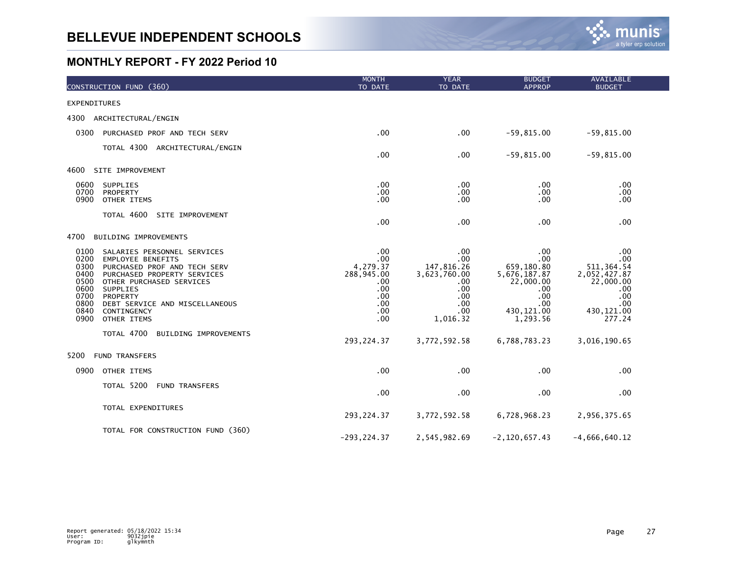

| CONSTRUCTION FUND (360)                                                                                                                                                                                                                                                                                                           | <b>MONTH</b><br>TO DATE                                                        | <b>YEAR</b><br>TO DATE                                                                  | <b>BUDGET</b><br><b>APPROP</b>                                                                         | <b>AVAILABLE</b><br><b>BUDGET</b>                                                                    |
|-----------------------------------------------------------------------------------------------------------------------------------------------------------------------------------------------------------------------------------------------------------------------------------------------------------------------------------|--------------------------------------------------------------------------------|-----------------------------------------------------------------------------------------|--------------------------------------------------------------------------------------------------------|------------------------------------------------------------------------------------------------------|
| <b>EXPENDITURES</b>                                                                                                                                                                                                                                                                                                               |                                                                                |                                                                                         |                                                                                                        |                                                                                                      |
| 4300<br>ARCHITECTURAL/ENGIN                                                                                                                                                                                                                                                                                                       |                                                                                |                                                                                         |                                                                                                        |                                                                                                      |
| 0300<br>PURCHASED PROF AND TECH SERV                                                                                                                                                                                                                                                                                              | .00                                                                            | .00                                                                                     | $-59,815.00$                                                                                           | $-59,815.00$                                                                                         |
| TOTAL 4300 ARCHITECTURAL/ENGIN                                                                                                                                                                                                                                                                                                    | .00                                                                            | .00                                                                                     | $-59,815.00$                                                                                           | $-59,815.00$                                                                                         |
| 4600<br>SITE IMPROVEMENT                                                                                                                                                                                                                                                                                                          |                                                                                |                                                                                         |                                                                                                        |                                                                                                      |
| 0600<br>SUPPLIES<br>0700<br>PROPERTY<br>0900<br>OTHER ITEMS                                                                                                                                                                                                                                                                       | .00<br>.00<br>.00                                                              | .00<br>.00<br>.00                                                                       | $.00 \,$<br>.00<br>.00                                                                                 | .00<br>.00<br>.00.                                                                                   |
| TOTAL 4600<br>SITE IMPROVEMENT                                                                                                                                                                                                                                                                                                    | .00                                                                            | .00                                                                                     | .00                                                                                                    | .00                                                                                                  |
| 4700<br>BUILDING IMPROVEMENTS                                                                                                                                                                                                                                                                                                     |                                                                                |                                                                                         |                                                                                                        |                                                                                                      |
| 0100<br>SALARIES PERSONNEL SERVICES<br>0200<br><b>EMPLOYEE BENEFITS</b><br>0300<br>PURCHASED PROF AND TECH SERV<br>0400<br>PURCHASED PROPERTY SERVICES<br>0500<br>OTHER PURCHASED SERVICES<br>0600<br>SUPPLIES<br>0700<br>PROPERTY<br>0800<br>DEBT SERVICE AND MISCELLANEOUS<br>0840<br>CONTINGENCY<br>0900<br><b>OTHER ITEMS</b> | .00<br>.00<br>4,279.37<br>288,945.00<br>.00<br>.00<br>.00<br>.00<br>.00<br>.00 | .00<br>.00<br>147,816.26<br>3,623,760.00<br>.00<br>.00<br>.00<br>.00<br>.00<br>1,016.32 | .00<br>.00<br>659,180.80<br>5,676,187.87<br>22,000.00<br>.00.<br>.00<br>.00<br>430, 121.00<br>1,293.56 | .00<br>.00<br>511, 364.54<br>2,052,427.87<br>22,000.00<br>.00<br>.00<br>.00<br>430, 121.00<br>277.24 |
| TOTAL 4700<br>BUILDING IMPROVEMENTS                                                                                                                                                                                                                                                                                               | 293, 224.37                                                                    | 3,772,592.58                                                                            | 6,788,783.23                                                                                           | 3,016,190.65                                                                                         |
| <b>FUND TRANSFERS</b><br>5200                                                                                                                                                                                                                                                                                                     |                                                                                |                                                                                         |                                                                                                        |                                                                                                      |
| 0900<br>OTHER ITEMS                                                                                                                                                                                                                                                                                                               | .00                                                                            | .00                                                                                     | .00                                                                                                    | .00                                                                                                  |
| TOTAL 5200 FUND TRANSFERS                                                                                                                                                                                                                                                                                                         | .00                                                                            | .00                                                                                     | .00                                                                                                    | .00                                                                                                  |
| TOTAL EXPENDITURES                                                                                                                                                                                                                                                                                                                | 293, 224.37                                                                    | 3,772,592.58                                                                            | 6,728,968.23                                                                                           | 2,956,375.65                                                                                         |
| TOTAL FOR CONSTRUCTION FUND (360)                                                                                                                                                                                                                                                                                                 | $-293, 224.37$                                                                 | 2,545,982.69                                                                            | $-2, 120, 657.43$                                                                                      | $-4,666,640.12$                                                                                      |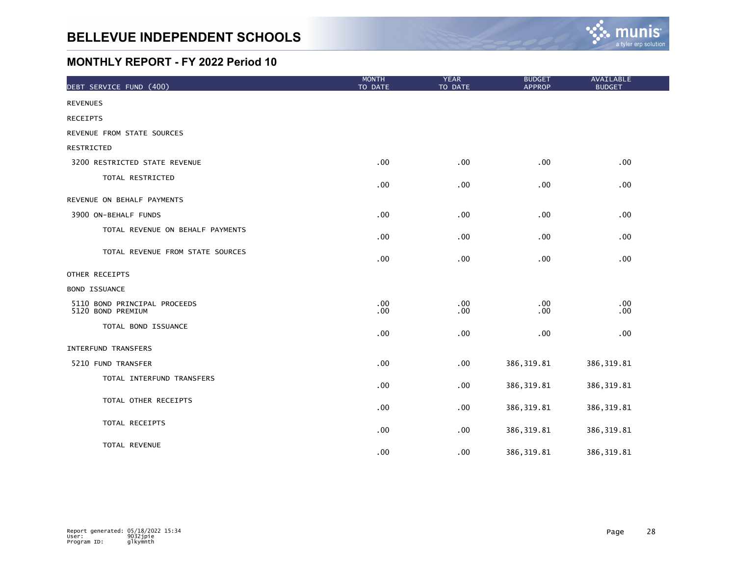

| DEBT SERVICE FUND (400)                           | <b>MONTH</b><br>TO DATE | <b>YEAR</b><br>TO DATE | <b>BUDGET</b><br><b>APPROP</b> | <b>AVAILABLE</b><br><b>BUDGET</b> |
|---------------------------------------------------|-------------------------|------------------------|--------------------------------|-----------------------------------|
| <b>REVENUES</b>                                   |                         |                        |                                |                                   |
| <b>RECEIPTS</b>                                   |                         |                        |                                |                                   |
| REVENUE FROM STATE SOURCES                        |                         |                        |                                |                                   |
| RESTRICTED                                        |                         |                        |                                |                                   |
| 3200 RESTRICTED STATE REVENUE                     | .00                     | .00                    | .00                            | .00                               |
| TOTAL RESTRICTED                                  | .00                     | .00                    | .00                            | .00                               |
| REVENUE ON BEHALF PAYMENTS                        |                         |                        |                                |                                   |
| 3900 ON-BEHALF FUNDS                              | .00                     | .00                    | .00                            | .00                               |
| TOTAL REVENUE ON BEHALF PAYMENTS                  | .00                     | .00                    | .00                            | .00                               |
| TOTAL REVENUE FROM STATE SOURCES                  | .00                     | .00                    | .00                            | .00                               |
| OTHER RECEIPTS                                    |                         |                        |                                |                                   |
| <b>BOND ISSUANCE</b>                              |                         |                        |                                |                                   |
| 5110 BOND PRINCIPAL PROCEEDS<br>5120 BOND PREMIUM | .00<br>.00              | .00<br>.00             | .00<br>.00                     | .00<br>.00                        |
| TOTAL BOND ISSUANCE                               | .00                     | .00                    | .00                            | .00                               |
| INTERFUND TRANSFERS                               |                         |                        |                                |                                   |
| 5210 FUND TRANSFER                                | .00                     | .00                    | 386, 319.81                    | 386, 319.81                       |
| TOTAL INTERFUND TRANSFERS                         | .00                     | .00                    | 386, 319.81                    | 386, 319.81                       |
| TOTAL OTHER RECEIPTS                              | .00                     | .00                    | 386, 319.81                    | 386, 319.81                       |
| TOTAL RECEIPTS                                    | .00                     | .00                    | 386, 319.81                    | 386, 319.81                       |
| TOTAL REVENUE                                     | .00                     | .00                    | 386, 319.81                    | 386, 319.81                       |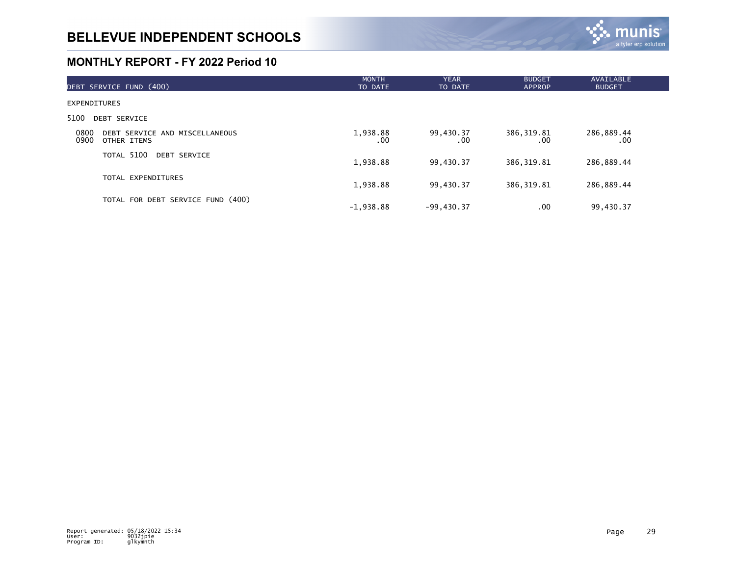

| DEBT SERVICE FUND (400)                                       | <b>MONTH</b><br>TO DATE | <b>YEAR</b><br>TO DATE | <b>BUDGET</b><br><b>APPROP</b> | <b>AVAILABLE</b><br><b>BUDGET</b> |
|---------------------------------------------------------------|-------------------------|------------------------|--------------------------------|-----------------------------------|
| <b>EXPENDITURES</b>                                           |                         |                        |                                |                                   |
| 5100<br><b>DEBT SERVICE</b>                                   |                         |                        |                                |                                   |
| 0800<br>DEBT SERVICE AND MISCELLANEOUS<br>0900<br>OTHER ITEMS | 1,938.88<br>.00         | 99,430.37<br>.00       | 386, 319.81<br>.00             | 286,889.44<br>.00                 |
| TOTAL 5100<br>DEBT SERVICE                                    | 1,938.88                | 99,430.37              | 386, 319.81                    | 286,889.44                        |
| TOTAL EXPENDITURES                                            | 1,938.88                | 99,430.37              | 386, 319.81                    | 286,889.44                        |
| TOTAL FOR DEBT SERVICE FUND (400)                             | $-1,938.88$             | $-99,430.37$           | .00                            | 99,430.37                         |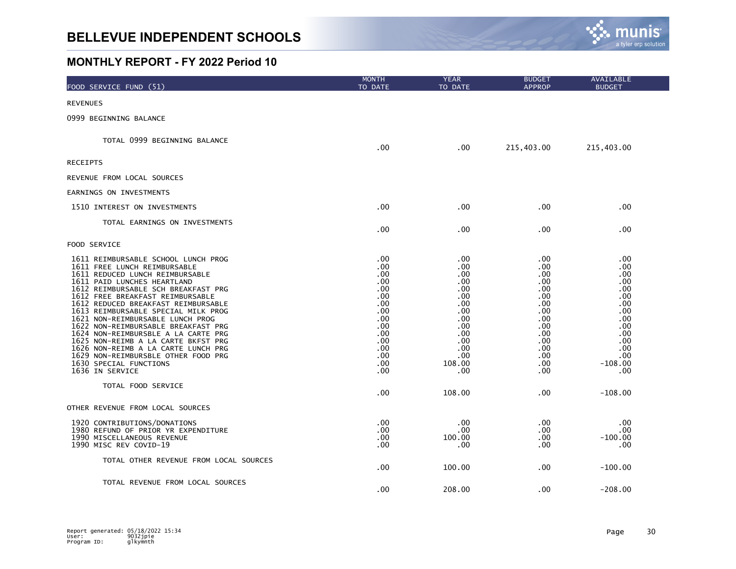

| FOOD SERVICE FUND (51)                                                                                                                                                                                                                                                                                                                                                                                                                                                                                                                                                                                   | <b>MONTH</b><br>TO DATE                                                                                              | <b>YEAR</b><br>TO DATE                                                                                                    | <b>BUDGET</b><br><b>APPROP</b>                                                                                      | AVAILABLE<br><b>BUDGET</b>                                                                                                      |
|----------------------------------------------------------------------------------------------------------------------------------------------------------------------------------------------------------------------------------------------------------------------------------------------------------------------------------------------------------------------------------------------------------------------------------------------------------------------------------------------------------------------------------------------------------------------------------------------------------|----------------------------------------------------------------------------------------------------------------------|---------------------------------------------------------------------------------------------------------------------------|---------------------------------------------------------------------------------------------------------------------|---------------------------------------------------------------------------------------------------------------------------------|
| <b>REVENUES</b>                                                                                                                                                                                                                                                                                                                                                                                                                                                                                                                                                                                          |                                                                                                                      |                                                                                                                           |                                                                                                                     |                                                                                                                                 |
| 0999 BEGINNING BALANCE                                                                                                                                                                                                                                                                                                                                                                                                                                                                                                                                                                                   |                                                                                                                      |                                                                                                                           |                                                                                                                     |                                                                                                                                 |
| TOTAL 0999 BEGINNING BALANCE                                                                                                                                                                                                                                                                                                                                                                                                                                                                                                                                                                             | .00.                                                                                                                 | $.00 \,$                                                                                                                  | 215,403.00                                                                                                          | 215,403.00                                                                                                                      |
| <b>RECEIPTS</b>                                                                                                                                                                                                                                                                                                                                                                                                                                                                                                                                                                                          |                                                                                                                      |                                                                                                                           |                                                                                                                     |                                                                                                                                 |
| REVENUE FROM LOCAL SOURCES                                                                                                                                                                                                                                                                                                                                                                                                                                                                                                                                                                               |                                                                                                                      |                                                                                                                           |                                                                                                                     |                                                                                                                                 |
| EARNINGS ON INVESTMENTS                                                                                                                                                                                                                                                                                                                                                                                                                                                                                                                                                                                  |                                                                                                                      |                                                                                                                           |                                                                                                                     |                                                                                                                                 |
| 1510 INTEREST ON INVESTMENTS                                                                                                                                                                                                                                                                                                                                                                                                                                                                                                                                                                             | .00                                                                                                                  | .00                                                                                                                       | .00                                                                                                                 | .00.                                                                                                                            |
| TOTAL EARNINGS ON INVESTMENTS                                                                                                                                                                                                                                                                                                                                                                                                                                                                                                                                                                            | .00                                                                                                                  | .00                                                                                                                       | .00                                                                                                                 | .00                                                                                                                             |
| FOOD SERVICE                                                                                                                                                                                                                                                                                                                                                                                                                                                                                                                                                                                             |                                                                                                                      |                                                                                                                           |                                                                                                                     |                                                                                                                                 |
| 1611 REIMBURSABLE SCHOOL LUNCH PROG<br>1611 FREE LUNCH REIMBURSABLE<br>1611 REDUCED LUNCH REIMBURSABLE<br>1611 PAID LUNCHES HEARTLAND<br>1612 REIMBURSABLE SCH BREAKFAST PRG<br>1612 FREE BREAKFAST REIMBURSABLE<br>1612 REDUCED BREAKFAST REIMBURSABLE<br>1613 REIMBURSABLE SPECIAL MILK PROG<br>1621 NON-REIMBURSABLE LUNCH PROG<br>1622 NON-REIMBURSABLE BREAKFAST PRG<br>1624 NON-REIMBURSBLE A LA CARTE PRG<br>1625 NON-REIMB A LA CARTE BKFST PRG<br>1626 NON-REIMB A LA CARTE LUNCH PRG<br>1629 NON-REIMBURSBLE OTHER FOOD PRG<br>1630 SPECIAL FUNCTIONS<br>1636 IN SERVICE<br>TOTAL FOOD SERVICE | .00<br>.00<br>.00<br>.00<br>.00<br>.00<br>.00<br>.00<br>.00<br>.00<br>.00<br>.00<br>.00<br>.00<br>.00<br>.00<br>.00. | .00<br>.00<br>.00<br>.00<br>.00<br>.00<br>.00<br>.00<br>.00<br>.00<br>.00<br>.00<br>.00<br>.00<br>108.00<br>.00<br>108.00 | .00<br>.00<br>.00<br>.00<br>.00<br>.00<br>.00<br>.00<br>.00<br>.00<br>.00<br>.00<br>.00<br>.00<br>.00<br>.00<br>.00 | .00<br>.00<br>.00<br>.00<br>.00<br>.00<br>.00<br>.00<br>.00<br>.00<br>.00<br>.00<br>.00<br>.00<br>$-108.00$<br>.00<br>$-108.00$ |
| OTHER REVENUE FROM LOCAL SOURCES                                                                                                                                                                                                                                                                                                                                                                                                                                                                                                                                                                         |                                                                                                                      |                                                                                                                           |                                                                                                                     |                                                                                                                                 |
| 1920 CONTRIBUTIONS/DONATIONS<br>1980 REFUND OF PRIOR YR EXPENDITURE<br>1990 MISCELLANEOUS REVENUE<br>1990 MISC REV COVID-19                                                                                                                                                                                                                                                                                                                                                                                                                                                                              | .00<br>.00<br>$.00 \,$<br>.00                                                                                        | .00<br>.00<br>100.00<br>.00                                                                                               | .00<br>.00<br>.00<br>.00                                                                                            | .00<br>.00<br>$-100.00$<br>.00                                                                                                  |
| TOTAL OTHER REVENUE FROM LOCAL SOURCES                                                                                                                                                                                                                                                                                                                                                                                                                                                                                                                                                                   | .00                                                                                                                  | 100.00                                                                                                                    | .00                                                                                                                 | $-100.00$                                                                                                                       |
| TOTAL REVENUE FROM LOCAL SOURCES                                                                                                                                                                                                                                                                                                                                                                                                                                                                                                                                                                         | .00                                                                                                                  | 208.00                                                                                                                    | .00                                                                                                                 | $-208.00$                                                                                                                       |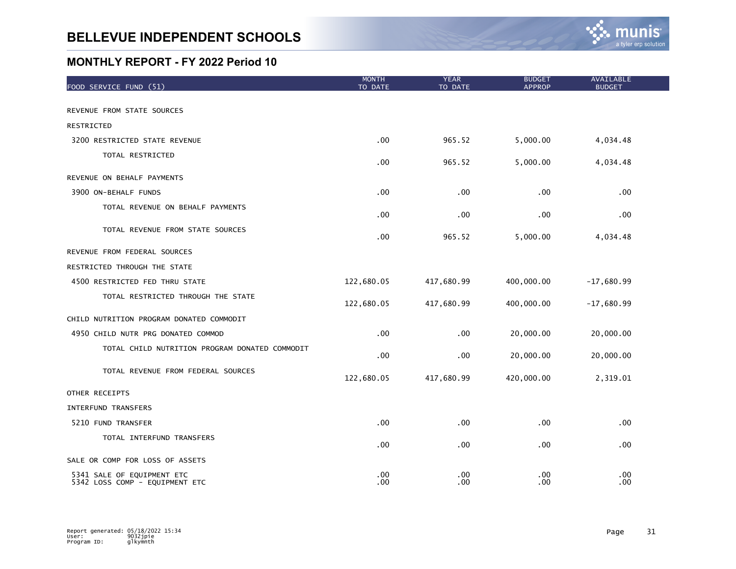

| FOOD SERVICE FUND (51)                                       | <b>MONTH</b><br>TO DATE | <b>YEAR</b><br>TO DATE | <b>BUDGET</b><br><b>APPROP</b> | AVAILABLE<br><b>BUDGET</b> |
|--------------------------------------------------------------|-------------------------|------------------------|--------------------------------|----------------------------|
| REVENUE FROM STATE SOURCES                                   |                         |                        |                                |                            |
| RESTRICTED                                                   |                         |                        |                                |                            |
| 3200 RESTRICTED STATE REVENUE                                | .00                     | 965.52                 | 5,000.00                       | 4,034.48                   |
| TOTAL RESTRICTED                                             | .00                     | 965.52                 | 5,000.00                       | 4,034.48                   |
| REVENUE ON BEHALF PAYMENTS                                   |                         |                        |                                |                            |
| 3900 ON-BEHALF FUNDS                                         | .00                     | .00                    | .00                            | .00                        |
| TOTAL REVENUE ON BEHALF PAYMENTS                             | $.00 \,$                | .00                    | .00                            | .00                        |
| TOTAL REVENUE FROM STATE SOURCES                             | .00                     | 965.52                 | 5,000.00                       | 4,034.48                   |
| REVENUE FROM FEDERAL SOURCES                                 |                         |                        |                                |                            |
| RESTRICTED THROUGH THE STATE                                 |                         |                        |                                |                            |
| 4500 RESTRICTED FED THRU STATE                               | 122,680.05              | 417,680.99             | 400,000.00                     | $-17,680.99$               |
| TOTAL RESTRICTED THROUGH THE STATE                           | 122,680.05              | 417,680.99             | 400,000.00                     | $-17,680.99$               |
| CHILD NUTRITION PROGRAM DONATED COMMODIT                     |                         |                        |                                |                            |
| 4950 CHILD NUTR PRG DONATED COMMOD                           | .00                     | .00                    | 20,000.00                      | 20,000.00                  |
| TOTAL CHILD NUTRITION PROGRAM DONATED COMMODIT               | .00                     | .00                    | 20,000.00                      | 20,000.00                  |
| TOTAL REVENUE FROM FEDERAL SOURCES                           | 122,680.05              | 417,680.99             | 420,000.00                     | 2,319.01                   |
| OTHER RECEIPTS                                               |                         |                        |                                |                            |
| <b>INTERFUND TRANSFERS</b>                                   |                         |                        |                                |                            |
| 5210 FUND TRANSFER                                           | .00                     | .00                    | .00                            | .00                        |
| TOTAL INTERFUND TRANSFERS                                    | .00                     | .00                    | .00                            | .00                        |
| SALE OR COMP FOR LOSS OF ASSETS                              |                         |                        |                                |                            |
| 5341 SALE OF EQUIPMENT ETC<br>5342 LOSS COMP - EQUIPMENT ETC | .00<br>.00              | .00<br>.00             | .00<br>.00                     | .00<br>.00                 |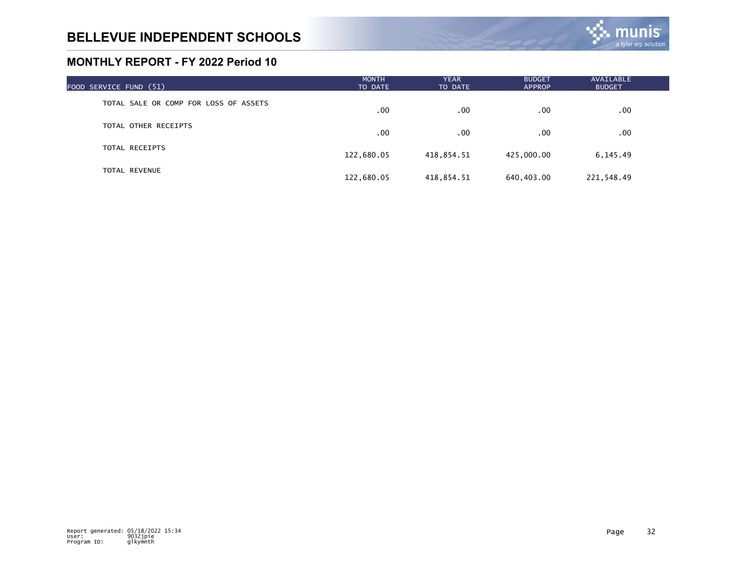

| FOOD SERVICE FUND (51)                | <b>MONTH</b><br>TO DATE | <b>YEAR</b><br>TO DATE | <b>BUDGET</b><br><b>APPROP</b> | AVAILABLE<br><b>BUDGET</b> |  |
|---------------------------------------|-------------------------|------------------------|--------------------------------|----------------------------|--|
| TOTAL SALE OR COMP FOR LOSS OF ASSETS | $.00 \,$                | .00                    | .00                            | .00.                       |  |
| TOTAL OTHER RECEIPTS                  | .00                     | .00                    | .00                            | .00.                       |  |
| TOTAL RECEIPTS                        | 122,680.05              | 418,854.51             | 425,000.00                     | 6,145.49                   |  |
| TOTAL REVENUE                         | 122,680.05              | 418,854.51             | 640,403.00                     | 221,548.49                 |  |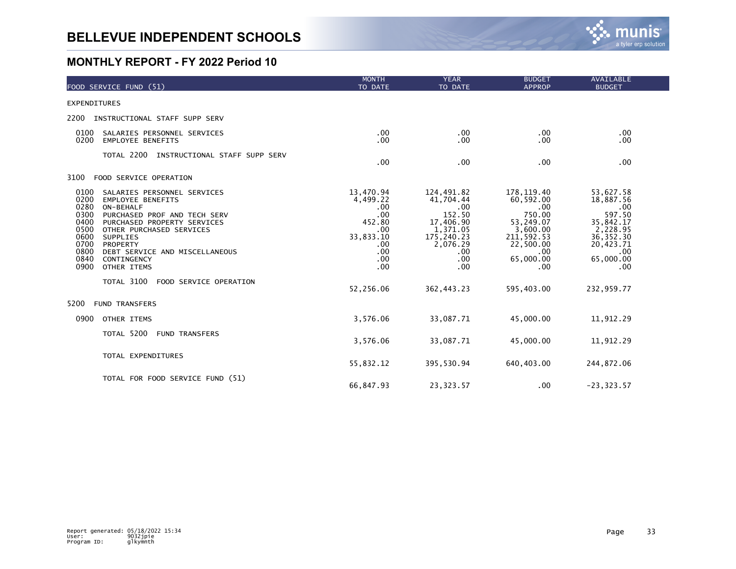

| FOOD SERVICE FUND (51)                                                                                                                                                                                                                                                                                                                                 | <b>MONTH</b><br>TO DATE                                                                       | <b>YEAR</b><br>TO DATE                                                                                             | <b>BUDGET</b><br><b>APPROP</b>                                                                                            | <b>AVAILABLE</b><br><b>BUDGET</b>                                                                                        |
|--------------------------------------------------------------------------------------------------------------------------------------------------------------------------------------------------------------------------------------------------------------------------------------------------------------------------------------------------------|-----------------------------------------------------------------------------------------------|--------------------------------------------------------------------------------------------------------------------|---------------------------------------------------------------------------------------------------------------------------|--------------------------------------------------------------------------------------------------------------------------|
| <b>EXPENDITURES</b>                                                                                                                                                                                                                                                                                                                                    |                                                                                               |                                                                                                                    |                                                                                                                           |                                                                                                                          |
| 2200<br>INSTRUCTIONAL STAFF SUPP SERV                                                                                                                                                                                                                                                                                                                  |                                                                                               |                                                                                                                    |                                                                                                                           |                                                                                                                          |
| 0100<br>SALARIES PERSONNEL SERVICES<br>0200<br><b>EMPLOYEE BENEFITS</b>                                                                                                                                                                                                                                                                                | .00<br>.00                                                                                    | $.00 \,$<br>.00                                                                                                    | .00<br>.00                                                                                                                | .00<br>.00                                                                                                               |
| TOTAL 2200<br>INSTRUCTIONAL STAFF SUPP SERV                                                                                                                                                                                                                                                                                                            | .00                                                                                           | .00                                                                                                                | .00                                                                                                                       | .00                                                                                                                      |
| 3100<br>FOOD SERVICE OPERATION                                                                                                                                                                                                                                                                                                                         |                                                                                               |                                                                                                                    |                                                                                                                           |                                                                                                                          |
| 0100<br>SALARIES PERSONNEL SERVICES<br>0200<br><b>EMPLOYEE BENEFITS</b><br>0280<br>ON-BEHALF<br>0300<br>PURCHASED PROF AND TECH SERV<br>0400<br>PURCHASED PROPERTY SERVICES<br>0500<br>OTHER PURCHASED SERVICES<br>0600<br><b>SUPPLIES</b><br>0700<br>PROPERTY<br>0800<br>DEBT SERVICE AND MISCELLANEOUS<br>0840<br>CONTINGENCY<br>0900<br>OTHER ITEMS | 13,470.94<br>4,499.22<br>.00<br>.00<br>452.80<br>.00<br>33,833.10<br>.00<br>.00<br>.00<br>.00 | 124,491.82<br>41,704.44<br>.00<br>152.50<br>17, 406.90<br>1, 371.05<br>175,240.23<br>2,076.29<br>.00<br>.00<br>.00 | 178, 119.40<br>60,592.00<br>.00<br>750.00<br>53,249.07<br>3,600.00<br>211, 592.53<br>22,500.00<br>.00<br>65,000.00<br>.00 | 53,627.58<br>18,887.56<br>.00<br>597.50<br>35, 842.17<br>2, 228.95<br>36, 352.30<br>20,423.71<br>.00<br>65,000.00<br>.00 |
| TOTAL 3100<br>FOOD SERVICE OPERATION                                                                                                                                                                                                                                                                                                                   | 52,256.06                                                                                     | 362, 443.23                                                                                                        | 595,403.00                                                                                                                | 232,959.77                                                                                                               |
| 5200<br><b>FUND TRANSFERS</b>                                                                                                                                                                                                                                                                                                                          |                                                                                               |                                                                                                                    |                                                                                                                           |                                                                                                                          |
| 0900<br>OTHER ITEMS                                                                                                                                                                                                                                                                                                                                    | 3,576.06                                                                                      | 33,087.71                                                                                                          | 45,000.00                                                                                                                 | 11,912.29                                                                                                                |
| TOTAL 5200<br><b>FUND TRANSFERS</b>                                                                                                                                                                                                                                                                                                                    | 3,576.06                                                                                      | 33,087.71                                                                                                          | 45,000.00                                                                                                                 | 11,912.29                                                                                                                |
| TOTAL EXPENDITURES                                                                                                                                                                                                                                                                                                                                     | 55,832.12                                                                                     | 395,530.94                                                                                                         | 640, 403.00                                                                                                               | 244,872.06                                                                                                               |
| TOTAL FOR FOOD SERVICE FUND (51)                                                                                                                                                                                                                                                                                                                       | 66,847.93                                                                                     | 23,323.57                                                                                                          | .00                                                                                                                       | $-23, 323.57$                                                                                                            |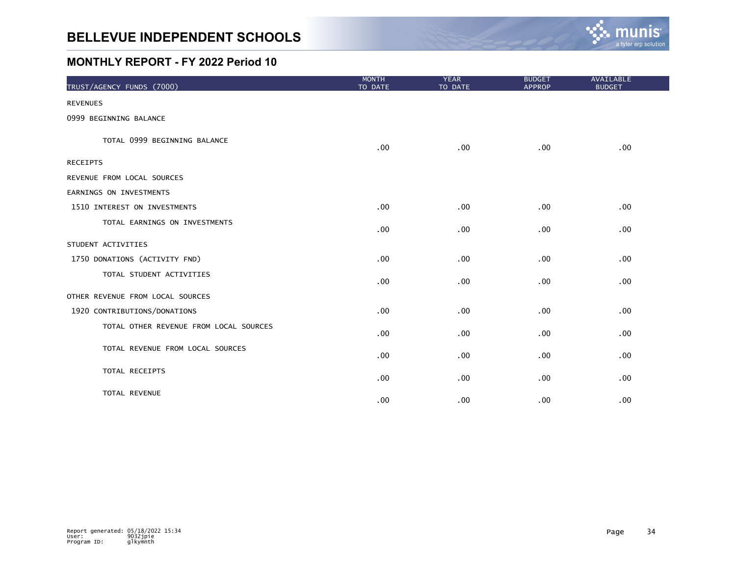

| TRUST/AGENCY FUNDS (7000)              | <b>MONTH</b><br>TO DATE | <b>YEAR</b><br>TO DATE | <b>BUDGET</b><br><b>APPROP</b> | AVAILABLE<br><b>BUDGET</b> |
|----------------------------------------|-------------------------|------------------------|--------------------------------|----------------------------|
| <b>REVENUES</b>                        |                         |                        |                                |                            |
| 0999 BEGINNING BALANCE                 |                         |                        |                                |                            |
| TOTAL 0999 BEGINNING BALANCE           | .00                     | .00                    | .00                            | .00                        |
| <b>RECEIPTS</b>                        |                         |                        |                                |                            |
| REVENUE FROM LOCAL SOURCES             |                         |                        |                                |                            |
| EARNINGS ON INVESTMENTS                |                         |                        |                                |                            |
| 1510 INTEREST ON INVESTMENTS           | .00                     | .00                    | .00                            | .00                        |
| TOTAL EARNINGS ON INVESTMENTS          | .00                     | .00                    | .00                            | .00                        |
| STUDENT ACTIVITIES                     |                         |                        |                                |                            |
| 1750 DONATIONS (ACTIVITY FND)          | .00                     | .00                    | .00                            | .00                        |
| TOTAL STUDENT ACTIVITIES               | .00                     | .00                    | .00.                           | .00 <sub>1</sub>           |
| OTHER REVENUE FROM LOCAL SOURCES       |                         |                        |                                |                            |
| 1920 CONTRIBUTIONS/DONATIONS           | .00                     | .00                    | .00                            | .00                        |
| TOTAL OTHER REVENUE FROM LOCAL SOURCES | .00                     | .00                    | .00                            | .00                        |
| TOTAL REVENUE FROM LOCAL SOURCES       | .00                     | .00                    | .00                            | .00                        |
| TOTAL RECEIPTS                         | .00                     | .00                    | .00                            | $.00 \,$                   |
| TOTAL REVENUE                          | .00                     | .00                    | .00                            | .00                        |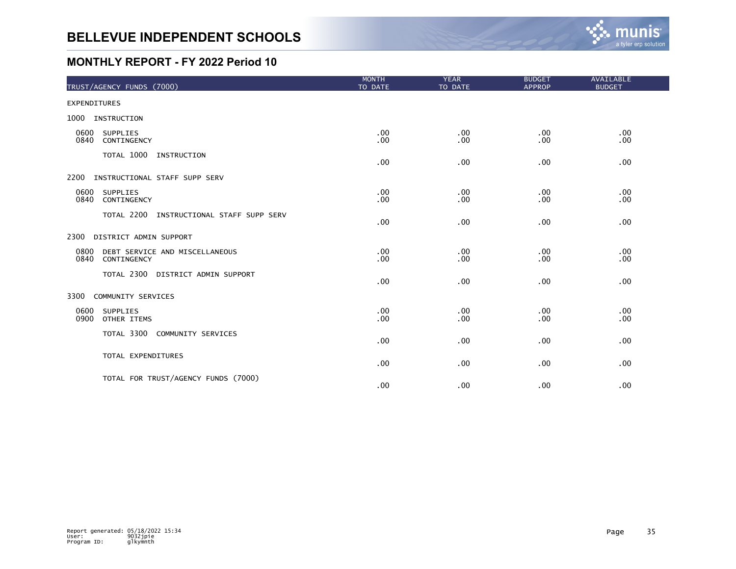

|                     | TRUST/AGENCY FUNDS (7000)                     | <b>MONTH</b><br>TO DATE | <b>YEAR</b><br>TO DATE | <b>BUDGET</b><br><b>APPROP</b> | AVAILABLE<br><b>BUDGET</b> |
|---------------------|-----------------------------------------------|-------------------------|------------------------|--------------------------------|----------------------------|
| <b>EXPENDITURES</b> |                                               |                         |                        |                                |                            |
| 1000                | INSTRUCTION                                   |                         |                        |                                |                            |
| 0600<br>0840        | SUPPLIES<br>CONTINGENCY                       | .00<br>.00              | .00<br>.00             | .00<br>.00                     | .00<br>.00                 |
|                     | TOTAL 1000 INSTRUCTION                        | .00                     | .00                    | .00                            | .00                        |
| 2200                | INSTRUCTIONAL STAFF SUPP SERV                 |                         |                        |                                |                            |
| 0600<br>0840        | SUPPLIES<br>CONTINGENCY                       | .00<br>.00              | .00<br>.00             | .00<br>.00                     | .00<br>.00                 |
|                     | TOTAL 2200 INSTRUCTIONAL STAFF SUPP SERV      | .00                     | .00                    | .00                            | .00                        |
| 2300                | DISTRICT ADMIN SUPPORT                        |                         |                        |                                |                            |
| 0800<br>0840        | DEBT SERVICE AND MISCELLANEOUS<br>CONTINGENCY | .00<br>.00              | .00<br>.00             | .00<br>.00                     | .00<br>.00                 |
|                     | TOTAL 2300 DISTRICT ADMIN SUPPORT             | .00                     | .00                    | .00                            | .00                        |
| 3300                | COMMUNITY SERVICES                            |                         |                        |                                |                            |
| 0600<br>0900        | <b>SUPPLIES</b><br>OTHER ITEMS                | .00<br>.00              | .00<br>.00             | .00<br>.00                     | .00<br>.00                 |
|                     | TOTAL 3300 COMMUNITY SERVICES                 | .00                     | .00                    | .00                            | .00                        |
|                     | TOTAL EXPENDITURES                            | .00                     | .00                    | .00                            | .00                        |
|                     | TOTAL FOR TRUST/AGENCY FUNDS (7000)           | .00                     | .00                    | .00                            | .00                        |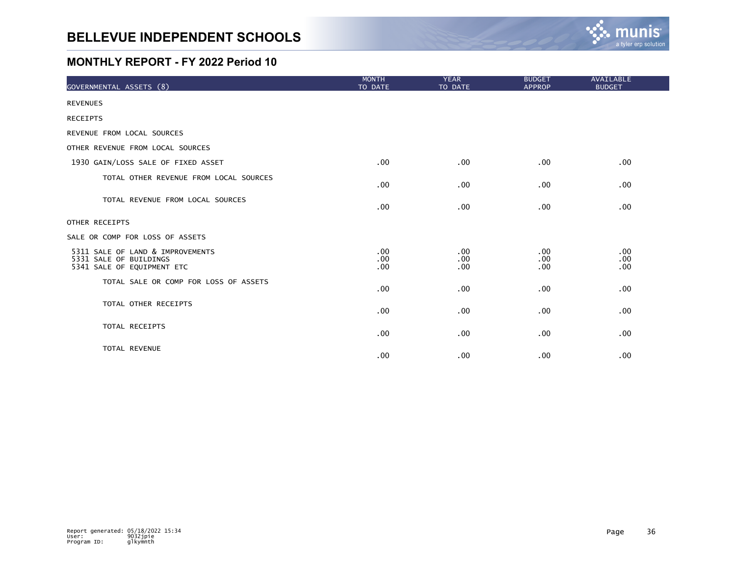

| GOVERNMENTAL ASSETS (8)                                                                  | <b>MONTH</b><br>TO DATE | <b>YEAR</b><br>TO DATE | <b>BUDGET</b><br><b>APPROP</b> | AVAILABLE<br><b>BUDGET</b>       |
|------------------------------------------------------------------------------------------|-------------------------|------------------------|--------------------------------|----------------------------------|
| <b>REVENUES</b>                                                                          |                         |                        |                                |                                  |
| <b>RECEIPTS</b>                                                                          |                         |                        |                                |                                  |
| REVENUE FROM LOCAL SOURCES                                                               |                         |                        |                                |                                  |
| OTHER REVENUE FROM LOCAL SOURCES                                                         |                         |                        |                                |                                  |
| 1930 GAIN/LOSS SALE OF FIXED ASSET                                                       | .00                     | $.00 \,$               | .00                            | .00                              |
| TOTAL OTHER REVENUE FROM LOCAL SOURCES                                                   | .00                     | .00                    | .00                            | $.00 \,$                         |
| TOTAL REVENUE FROM LOCAL SOURCES                                                         | .00                     | .00                    | .00                            | .00                              |
| OTHER RECEIPTS                                                                           |                         |                        |                                |                                  |
| SALE OR COMP FOR LOSS OF ASSETS                                                          |                         |                        |                                |                                  |
| 5311 SALE OF LAND & IMPROVEMENTS<br>5331 SALE OF BUILDINGS<br>5341 SALE OF EQUIPMENT ETC | .00<br>.00<br>.00       | .00<br>.00<br>.00      | .00<br>.00<br>.00              | $.00 \,$<br>$.00 \,$<br>$.00 \,$ |
| TOTAL SALE OR COMP FOR LOSS OF ASSETS                                                    | .00                     | .00                    | .00                            | .00                              |
| TOTAL OTHER RECEIPTS                                                                     | .00                     | .00                    | .00                            | $.00 \,$                         |
| TOTAL RECEIPTS                                                                           | .00                     | .00                    | .00                            | .00                              |
| TOTAL REVENUE                                                                            | .00                     | .00                    | .00                            | .00                              |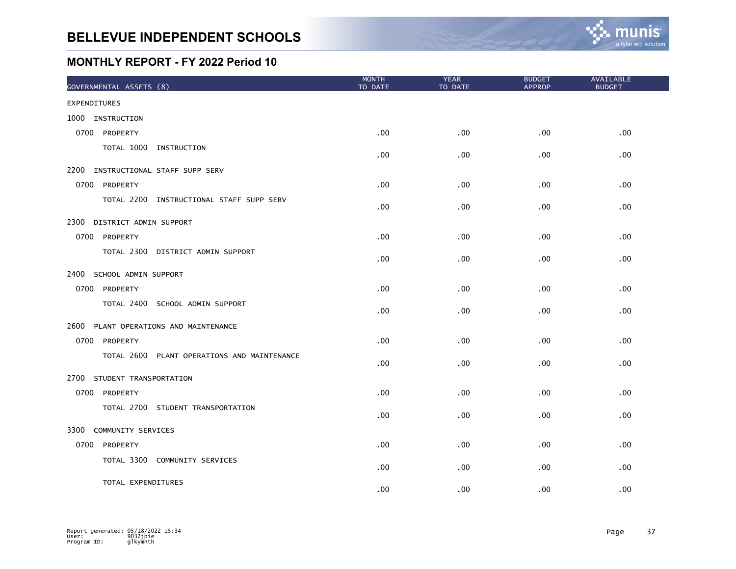| GOVERNMENTAL ASSETS (8)                     | <b>MONTH</b><br>TO DATE | <b>YEAR</b><br>TO DATE | <b>BUDGET</b><br><b>APPROP</b> | AVAILABLE<br><b>BUDGET</b> |
|---------------------------------------------|-------------------------|------------------------|--------------------------------|----------------------------|
| <b>EXPENDITURES</b>                         |                         |                        |                                |                            |
| 1000 INSTRUCTION                            |                         |                        |                                |                            |
| 0700 PROPERTY                               | .00 <sub>1</sub>        | .00                    | .00.                           | .00                        |
| TOTAL 1000 INSTRUCTION                      | .00 <sub>1</sub>        | .00                    | .00.                           | .00                        |
| 2200<br>INSTRUCTIONAL STAFF SUPP SERV       |                         |                        |                                |                            |
| 0700 PROPERTY                               | .00                     | .00                    | .00 <sub>1</sub>               | .00                        |
| TOTAL 2200 INSTRUCTIONAL STAFF SUPP SERV    | .00.                    | .00                    | .00 <sub>1</sub>               | .00                        |
| 2300<br>DISTRICT ADMIN SUPPORT              |                         |                        |                                |                            |
| 0700 PROPERTY                               | $.00 \,$                | .00                    | $.00 \,$                       | .00                        |
| TOTAL 2300 DISTRICT ADMIN SUPPORT           | .00                     | .00                    | .00                            | .00                        |
| 2400 SCHOOL ADMIN SUPPORT                   |                         |                        |                                |                            |
| 0700 PROPERTY                               | .00                     | .00                    | .00.                           | .00                        |
| TOTAL 2400 SCHOOL ADMIN SUPPORT             | .00                     | .00                    | .00                            | .00                        |
| 2600<br>PLANT OPERATIONS AND MAINTENANCE    |                         |                        |                                |                            |
| 0700 PROPERTY                               | .00 <sub>1</sub>        | .00                    | .00.                           | .00                        |
| TOTAL 2600 PLANT OPERATIONS AND MAINTENANCE | $.00 \,$                | .00                    | .00.                           | .00.                       |
| 2700<br>STUDENT TRANSPORTATION              |                         |                        |                                |                            |
| 0700 PROPERTY                               | .00 <sub>1</sub>        | .00                    | $.00 \,$                       | .00                        |
| TOTAL 2700 STUDENT TRANSPORTATION           | .00 <sub>1</sub>        | .00                    | .00.                           | .00                        |
| 3300<br>COMMUNITY SERVICES                  |                         |                        |                                |                            |
| 0700<br>PROPERTY                            | .00                     | .00                    | .00                            | .00                        |
| TOTAL 3300 COMMUNITY SERVICES               | .00                     | .00                    | .00                            | .00                        |
| TOTAL EXPENDITURES                          | .00                     | .00                    | .00                            | .00                        |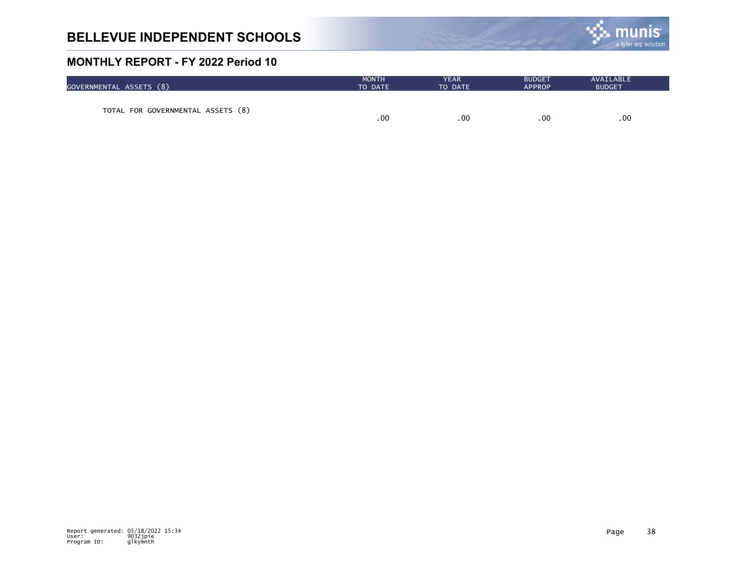

| GOVERNMENTAL ASSETS (8)           | <b>MONTH</b> | <b>YEAR</b> | <b>BUDGET</b> | AVAILABLE     |
|-----------------------------------|--------------|-------------|---------------|---------------|
|                                   | TO DATE      | TO DATE     | <b>APPROP</b> | <b>BUDGET</b> |
| TOTAL FOR GOVERNMENTAL ASSETS (8) | .00          | .00         | .00           | .00           |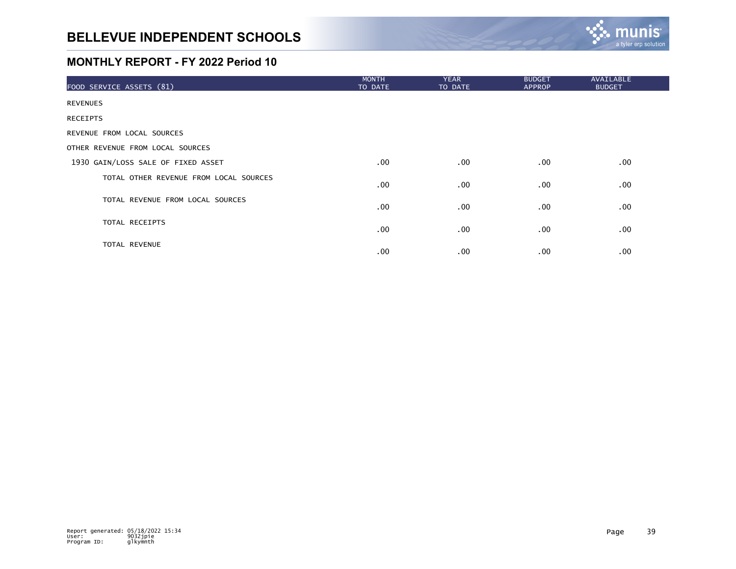

| FOOD SERVICE ASSETS (81)               | <b>MONTH</b><br>TO DATE | <b>YEAR</b><br>TO DATE | <b>BUDGET</b><br><b>APPROP</b> | <b>AVAILABLE</b><br><b>BUDGET</b> |
|----------------------------------------|-------------------------|------------------------|--------------------------------|-----------------------------------|
| <b>REVENUES</b>                        |                         |                        |                                |                                   |
| <b>RECEIPTS</b>                        |                         |                        |                                |                                   |
| REVENUE FROM LOCAL SOURCES             |                         |                        |                                |                                   |
| OTHER REVENUE FROM LOCAL SOURCES       |                         |                        |                                |                                   |
| 1930 GAIN/LOSS SALE OF FIXED ASSET     | $.00 \,$                | $.00 \,$               | $.00 \,$                       | .00                               |
| TOTAL OTHER REVENUE FROM LOCAL SOURCES | .00                     | $.00 \,$               | $.00 \,$                       | .00                               |
| TOTAL REVENUE FROM LOCAL SOURCES       | .00                     | $.00 \,$               | $.00 \,$                       | .00                               |
| TOTAL RECEIPTS                         | $.00 \,$                | $.00 \,$               | $.00 \,$                       | .00                               |
| <b>TOTAL REVENUE</b>                   | $.00 \,$                | $.00 \,$               | $.00 \,$                       | .00                               |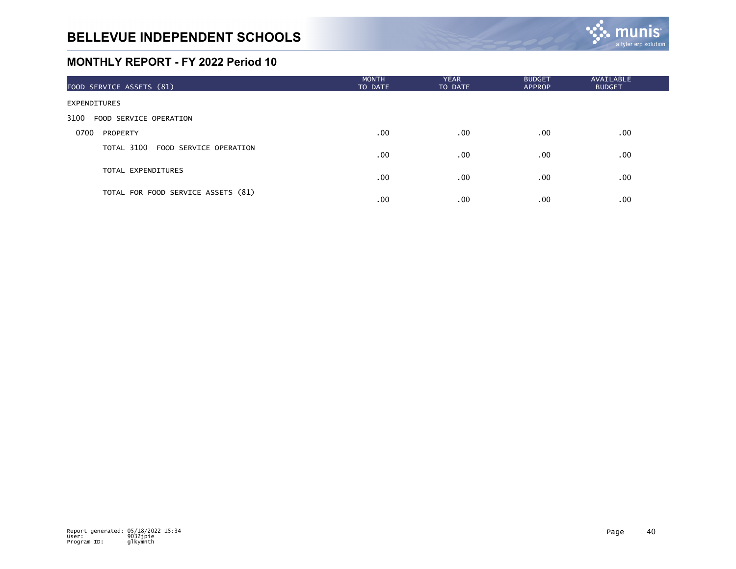

| FOOD SERVICE ASSETS (81)           | <b>MONTH</b><br>TO DATE | <b>YEAR</b><br>TO DATE | <b>BUDGET</b><br><b>APPROP</b> | <b>AVAILABLE</b><br><b>BUDGET</b> |
|------------------------------------|-------------------------|------------------------|--------------------------------|-----------------------------------|
| <b>EXPENDITURES</b>                |                         |                        |                                |                                   |
| FOOD SERVICE OPERATION<br>3100     |                         |                        |                                |                                   |
| 0700<br><b>PROPERTY</b>            | $.00 \times$            | $.00 \,$               | .00                            | .00                               |
| TOTAL 3100 FOOD SERVICE OPERATION  | $.00 \,$                | .00                    | .00                            | .00                               |
| TOTAL EXPENDITURES                 | .00                     | .00                    | .00                            | .00                               |
| TOTAL FOR FOOD SERVICE ASSETS (81) | .00                     | $.00 \,$               | .00                            | .00                               |